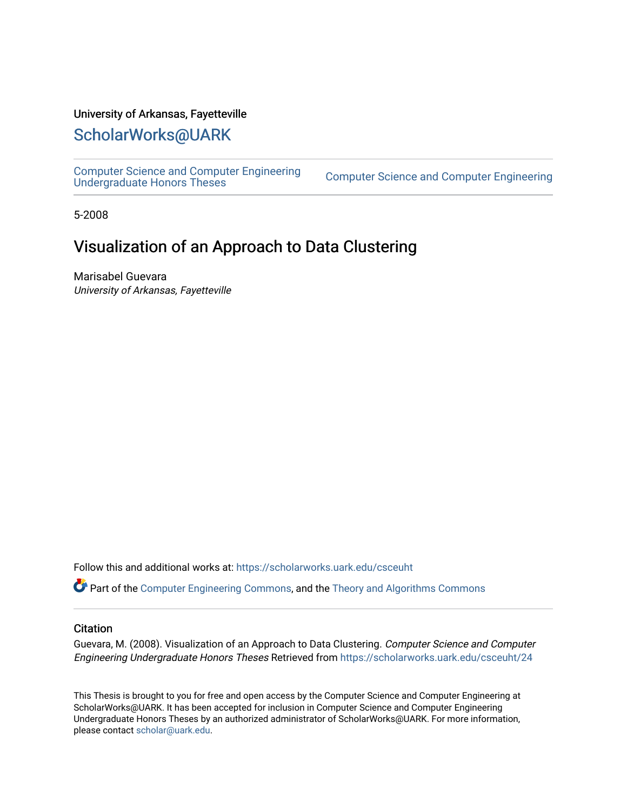## University of Arkansas, Fayetteville

# [ScholarWorks@UARK](https://scholarworks.uark.edu/)

[Computer Science and Computer Engineering](https://scholarworks.uark.edu/csceuht) 

Computer Science and Computer Engineering

5-2008

# Visualization of an Approach to Data Clustering

Marisabel Guevara University of Arkansas, Fayetteville

Follow this and additional works at: [https://scholarworks.uark.edu/csceuht](https://scholarworks.uark.edu/csceuht?utm_source=scholarworks.uark.edu%2Fcsceuht%2F24&utm_medium=PDF&utm_campaign=PDFCoverPages)

Part of the [Computer Engineering Commons,](http://network.bepress.com/hgg/discipline/258?utm_source=scholarworks.uark.edu%2Fcsceuht%2F24&utm_medium=PDF&utm_campaign=PDFCoverPages) and the [Theory and Algorithms Commons](http://network.bepress.com/hgg/discipline/151?utm_source=scholarworks.uark.edu%2Fcsceuht%2F24&utm_medium=PDF&utm_campaign=PDFCoverPages)

#### **Citation**

Guevara, M. (2008). Visualization of an Approach to Data Clustering. Computer Science and Computer Engineering Undergraduate Honors Theses Retrieved from [https://scholarworks.uark.edu/csceuht/24](https://scholarworks.uark.edu/csceuht/24?utm_source=scholarworks.uark.edu%2Fcsceuht%2F24&utm_medium=PDF&utm_campaign=PDFCoverPages)

This Thesis is brought to you for free and open access by the Computer Science and Computer Engineering at ScholarWorks@UARK. It has been accepted for inclusion in Computer Science and Computer Engineering Undergraduate Honors Theses by an authorized administrator of ScholarWorks@UARK. For more information, please contact [scholar@uark.edu](mailto:scholar@uark.edu).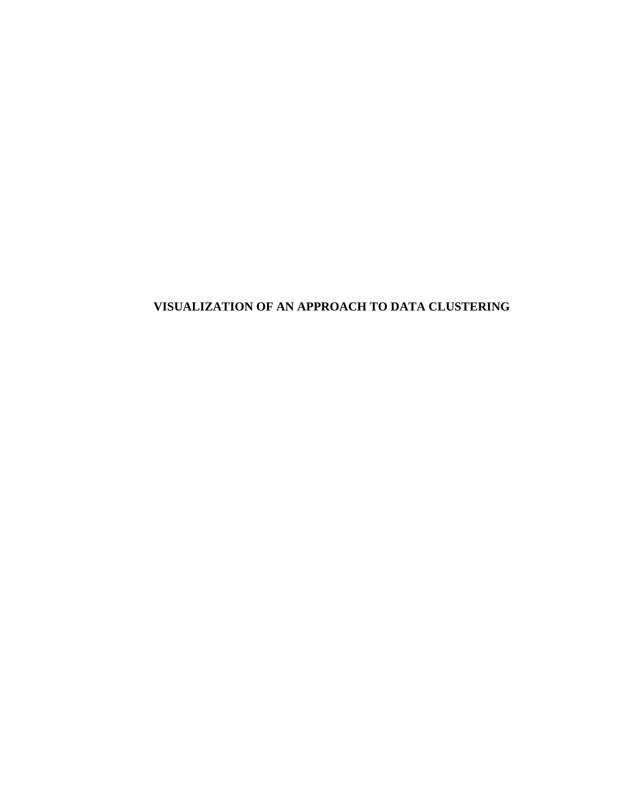# **VISUALIZATION OF AN APPROACH TO DATA CLUSTERING**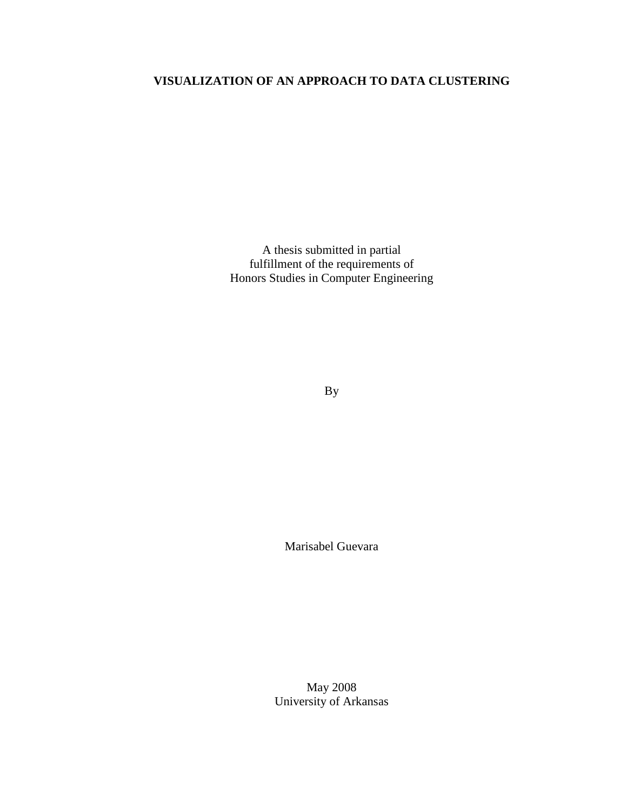## **VISUALIZATION OF AN APPROACH TO DATA CLUSTERING**

A thesis submitted in partial fulfillment of the requirements of Honors Studies in Computer Engineering

By

Marisabel Guevara

May 2008 University of Arkansas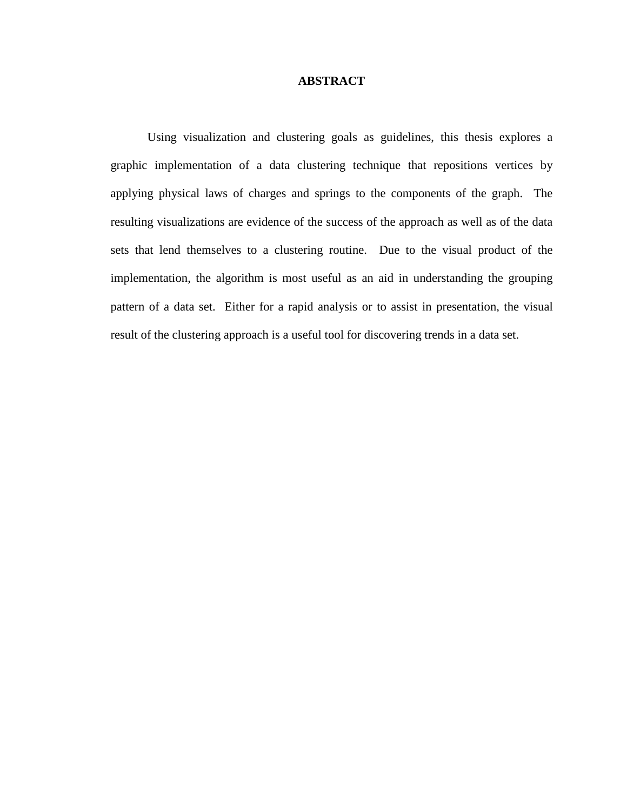### **ABSTRACT**

Using visualization and clustering goals as guidelines, this thesis explores a graphic implementation of a data clustering technique that repositions vertices by applying physical laws of charges and springs to the components of the graph. The resulting visualizations are evidence of the success of the approach as well as of the data sets that lend themselves to a clustering routine. Due to the visual product of the implementation, the algorithm is most useful as an aid in understanding the grouping pattern of a data set. Either for a rapid analysis or to assist in presentation, the visual result of the clustering approach is a useful tool for discovering trends in a data set.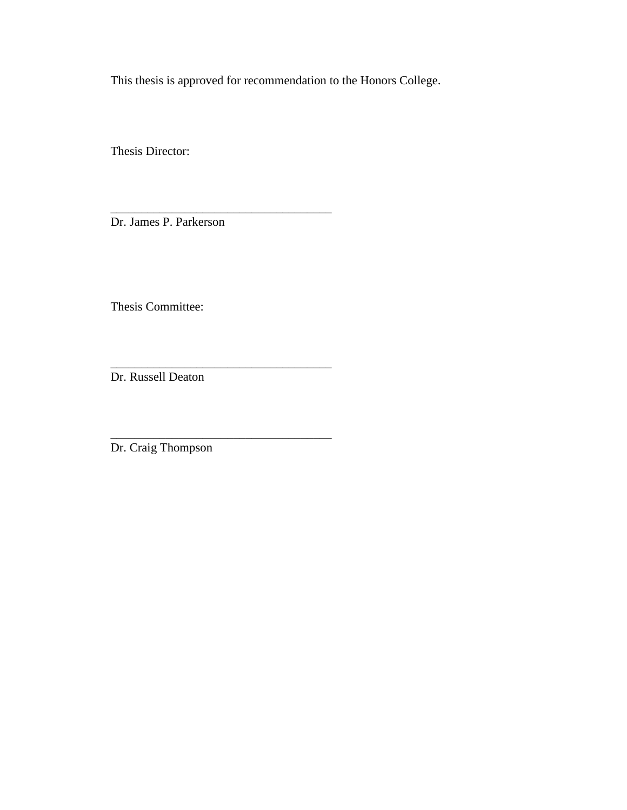This thesis is approved for recommendation to the Honors College.

Thesis Director:

Dr. James P. Parkerson

\_\_\_\_\_\_\_\_\_\_\_\_\_\_\_\_\_\_\_\_\_\_\_\_\_\_\_\_\_\_\_\_\_\_\_\_

\_\_\_\_\_\_\_\_\_\_\_\_\_\_\_\_\_\_\_\_\_\_\_\_\_\_\_\_\_\_\_\_\_\_\_\_

\_\_\_\_\_\_\_\_\_\_\_\_\_\_\_\_\_\_\_\_\_\_\_\_\_\_\_\_\_\_\_\_\_\_\_\_

Thesis Committee:

Dr. Russell Deaton

Dr. Craig Thompson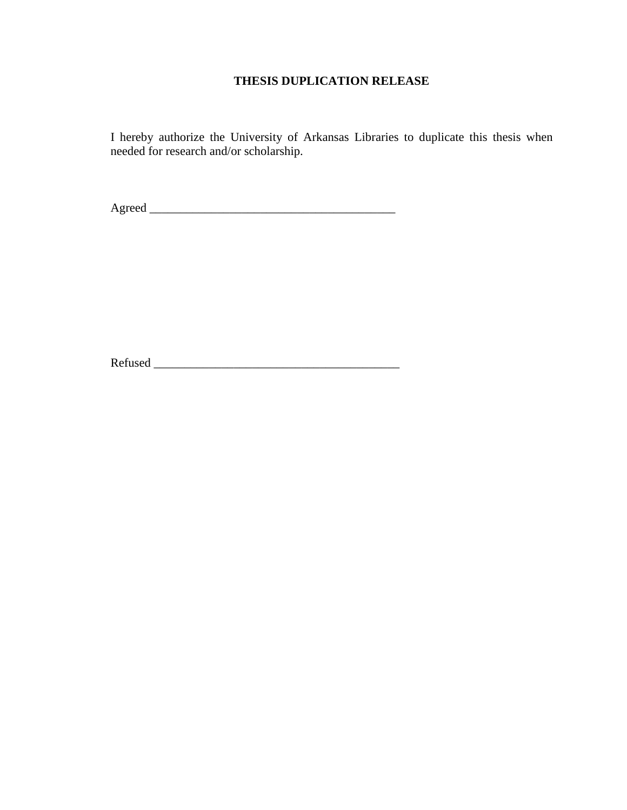## **THESIS DUPLICATION RELEASE**

I hereby authorize the University of Arkansas Libraries to duplicate this thesis when needed for research and/or scholarship.

Agreed \_\_\_\_\_\_\_\_\_\_\_\_\_\_\_\_\_\_\_\_\_\_\_\_\_\_\_\_\_\_\_\_\_\_\_\_\_\_\_\_

Refused \_\_\_\_\_\_\_\_\_\_\_\_\_\_\_\_\_\_\_\_\_\_\_\_\_\_\_\_\_\_\_\_\_\_\_\_\_\_\_\_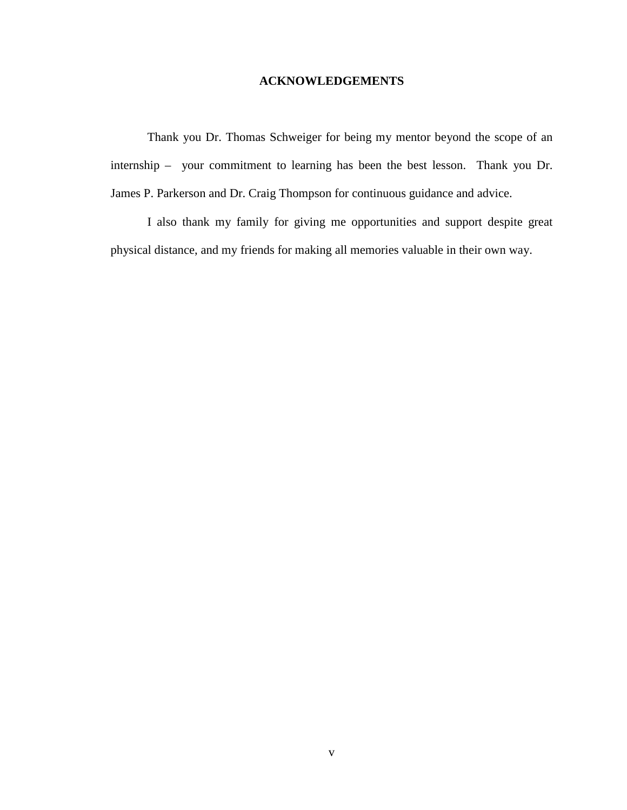## **ACKNOWLEDGEMENTS**

Thank you Dr. Thomas Schweiger for being my mentor beyond the scope of an internship – your commitment to learning has been the best lesson. Thank you Dr. James P. Parkerson and Dr. Craig Thompson for continuous guidance and advice.

I also thank my family for giving me opportunities and support despite great physical distance, and my friends for making all memories valuable in their own way.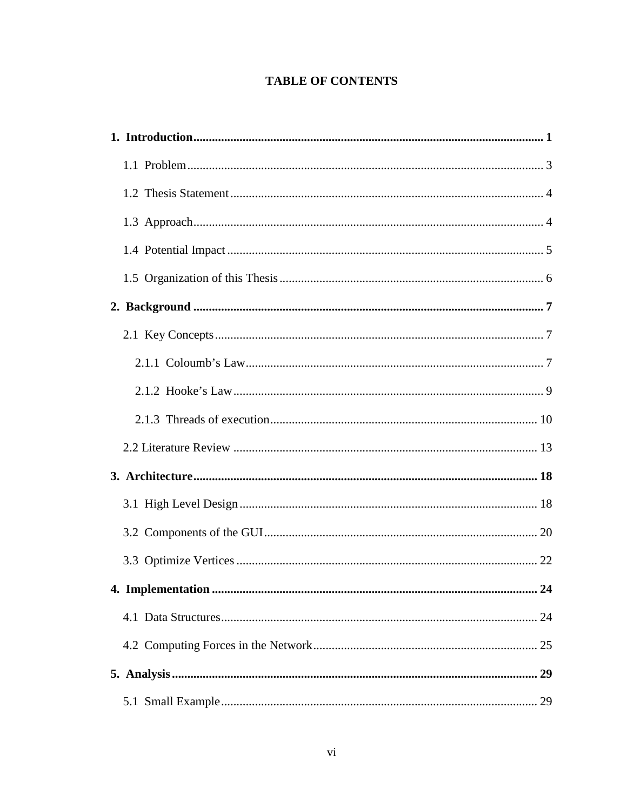## **TABLE OF CONTENTS**

| 24 |
|----|
|    |
|    |
|    |
|    |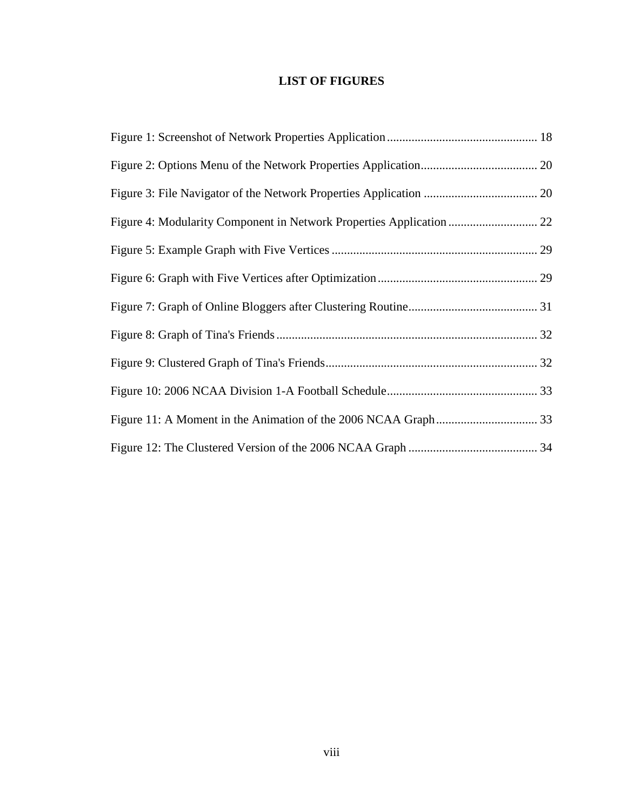## **LIST OF FIGURES**

| Figure 4: Modularity Component in Network Properties Application  22 |  |
|----------------------------------------------------------------------|--|
|                                                                      |  |
|                                                                      |  |
|                                                                      |  |
|                                                                      |  |
|                                                                      |  |
|                                                                      |  |
|                                                                      |  |
|                                                                      |  |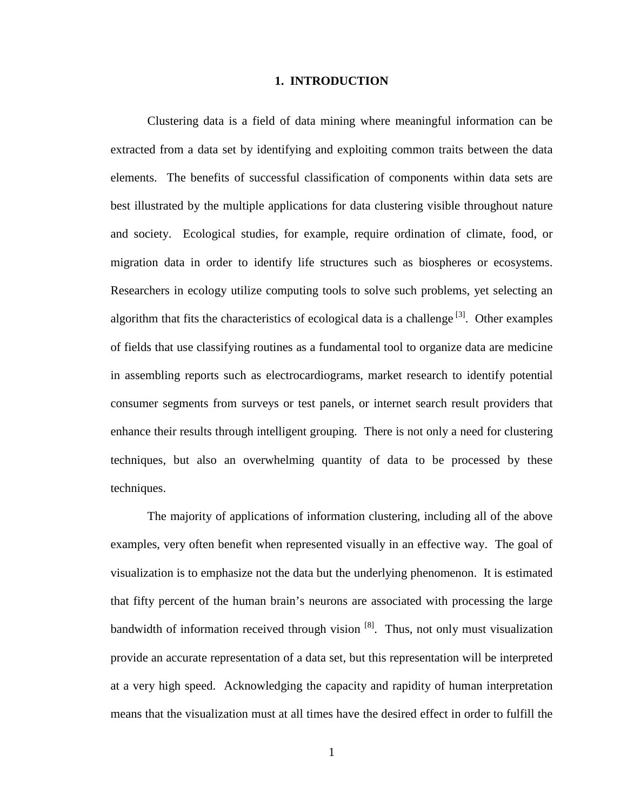#### **1. INTRODUCTION**

Clustering data is a field of data mining where meaningful information can be extracted from a data set by identifying and exploiting common traits between the data elements. The benefits of successful classification of components within data sets are best illustrated by the multiple applications for data clustering visible throughout nature and society. Ecological studies, for example, require ordination of climate, food, or migration data in order to identify life structures such as biospheres or ecosystems. Researchers in ecology utilize computing tools to solve such problems, yet selecting an algorithm that fits the characteristics of ecological data is a challenge  $[3]$ . Other examples of fields that use classifying routines as a fundamental tool to organize data are medicine in assembling reports such as electrocardiograms, market research to identify potential consumer segments from surveys or test panels, or internet search result providers that enhance their results through intelligent grouping. There is not only a need for clustering techniques, but also an overwhelming quantity of data to be processed by these techniques.

The majority of applications of information clustering, including all of the above examples, very often benefit when represented visually in an effective way. The goal of visualization is to emphasize not the data but the underlying phenomenon. It is estimated that fifty percent of the human brain's neurons are associated with processing the large bandwidth of information received through vision  $[8]$ . Thus, not only must visualization provide an accurate representation of a data set, but this representation will be interpreted at a very high speed. Acknowledging the capacity and rapidity of human interpretation means that the visualization must at all times have the desired effect in order to fulfill the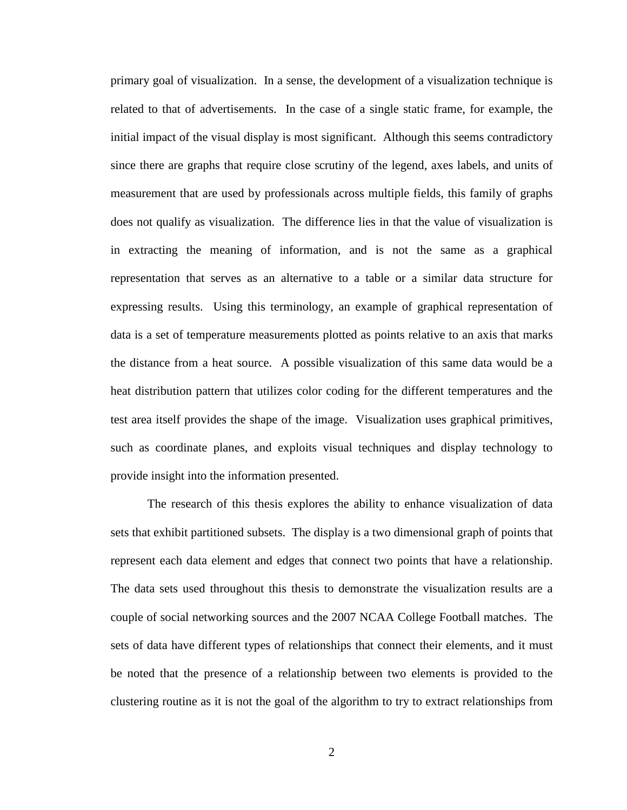primary goal of visualization. In a sense, the development of a visualization technique is related to that of advertisements. In the case of a single static frame, for example, the initial impact of the visual display is most significant. Although this seems contradictory since there are graphs that require close scrutiny of the legend, axes labels, and units of measurement that are used by professionals across multiple fields, this family of graphs does not qualify as visualization. The difference lies in that the value of visualization is in extracting the meaning of information, and is not the same as a graphical representation that serves as an alternative to a table or a similar data structure for expressing results. Using this terminology, an example of graphical representation of data is a set of temperature measurements plotted as points relative to an axis that marks the distance from a heat source. A possible visualization of this same data would be a heat distribution pattern that utilizes color coding for the different temperatures and the test area itself provides the shape of the image. Visualization uses graphical primitives, such as coordinate planes, and exploits visual techniques and display technology to provide insight into the information presented.

The research of this thesis explores the ability to enhance visualization of data sets that exhibit partitioned subsets. The display is a two dimensional graph of points that represent each data element and edges that connect two points that have a relationship. The data sets used throughout this thesis to demonstrate the visualization results are a couple of social networking sources and the 2007 NCAA College Football matches. The sets of data have different types of relationships that connect their elements, and it must be noted that the presence of a relationship between two elements is provided to the clustering routine as it is not the goal of the algorithm to try to extract relationships from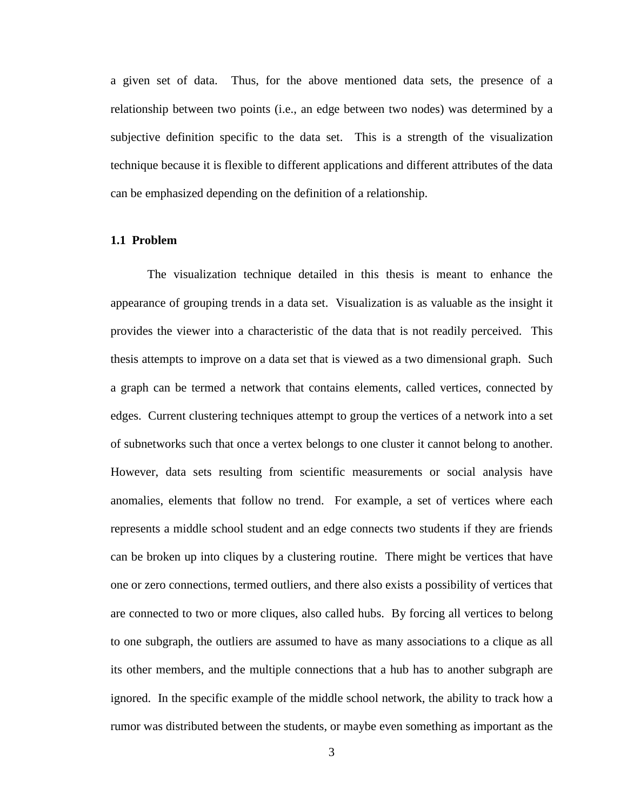a given set of data. Thus, for the above mentioned data sets, the presence of a relationship between two points (i.e., an edge between two nodes) was determined by a subjective definition specific to the data set. This is a strength of the visualization technique because it is flexible to different applications and different attributes of the data can be emphasized depending on the definition of a relationship.

#### **1.1 Problem**

The visualization technique detailed in this thesis is meant to enhance the appearance of grouping trends in a data set. Visualization is as valuable as the insight it provides the viewer into a characteristic of the data that is not readily perceived. This thesis attempts to improve on a data set that is viewed as a two dimensional graph. Such a graph can be termed a network that contains elements, called vertices, connected by edges. Current clustering techniques attempt to group the vertices of a network into a set of subnetworks such that once a vertex belongs to one cluster it cannot belong to another. However, data sets resulting from scientific measurements or social analysis have anomalies, elements that follow no trend. For example, a set of vertices where each represents a middle school student and an edge connects two students if they are friends can be broken up into cliques by a clustering routine. There might be vertices that have one or zero connections, termed outliers, and there also exists a possibility of vertices that are connected to two or more cliques, also called hubs. By forcing all vertices to belong to one subgraph, the outliers are assumed to have as many associations to a clique as all its other members, and the multiple connections that a hub has to another subgraph are ignored. In the specific example of the middle school network, the ability to track how a rumor was distributed between the students, or maybe even something as important as the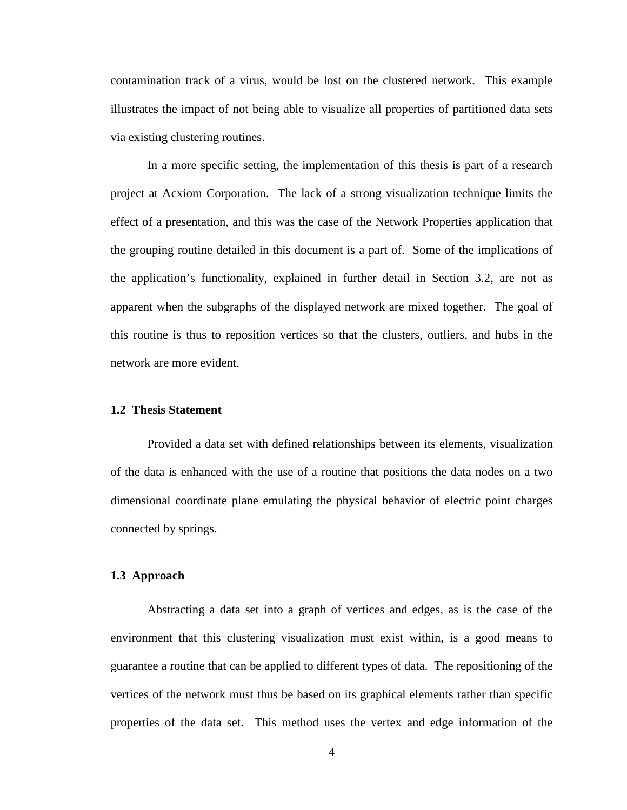contamination track of a virus, would be lost on the clustered network. This example illustrates the impact of not being able to visualize all properties of partitioned data sets via existing clustering routines.

In a more specific setting, the implementation of this thesis is part of a research project at Acxiom Corporation. The lack of a strong visualization technique limits the effect of a presentation, and this was the case of the Network Properties application that the grouping routine detailed in this document is a part of. Some of the implications of the application's functionality, explained in further detail in Section 3.2, are not as apparent when the subgraphs of the displayed network are mixed together. The goal of this routine is thus to reposition vertices so that the clusters, outliers, and hubs in the network are more evident.

## **1.2 Thesis Statement**

Provided a data set with defined relationships between its elements, visualization of the data is enhanced with the use of a routine that positions the data nodes on a two dimensional coordinate plane emulating the physical behavior of electric point charges connected by springs.

## **1.3 Approach**

Abstracting a data set into a graph of vertices and edges, as is the case of the environment that this clustering visualization must exist within, is a good means to guarantee a routine that can be applied to different types of data. The repositioning of the vertices of the network must thus be based on its graphical elements rather than specific properties of the data set. This method uses the vertex and edge information of the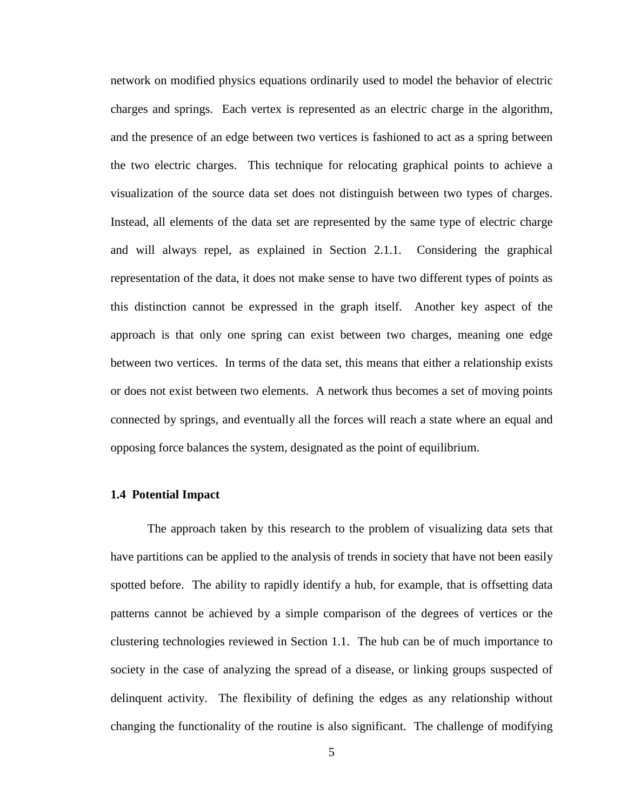network on modified physics equations ordinarily used to model the behavior of electric charges and springs. Each vertex is represented as an electric charge in the algorithm, and the presence of an edge between two vertices is fashioned to act as a spring between the two electric charges. This technique for relocating graphical points to achieve a visualization of the source data set does not distinguish between two types of charges. Instead, all elements of the data set are represented by the same type of electric charge and will always repel, as explained in Section 2.1.1. Considering the graphical representation of the data, it does not make sense to have two different types of points as this distinction cannot be expressed in the graph itself. Another key aspect of the approach is that only one spring can exist between two charges, meaning one edge between two vertices. In terms of the data set, this means that either a relationship exists or does not exist between two elements. A network thus becomes a set of moving points connected by springs, and eventually all the forces will reach a state where an equal and opposing force balances the system, designated as the point of equilibrium.

## **1.4 Potential Impact**

The approach taken by this research to the problem of visualizing data sets that have partitions can be applied to the analysis of trends in society that have not been easily spotted before. The ability to rapidly identify a hub, for example, that is offsetting data patterns cannot be achieved by a simple comparison of the degrees of vertices or the clustering technologies reviewed in Section 1.1. The hub can be of much importance to society in the case of analyzing the spread of a disease, or linking groups suspected of delinquent activity. The flexibility of defining the edges as any relationship without changing the functionality of the routine is also significant. The challenge of modifying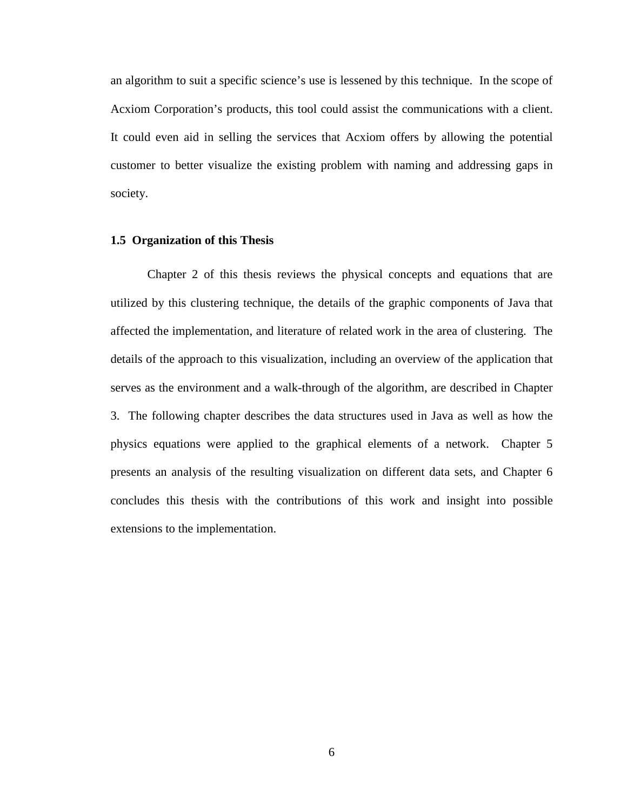an algorithm to suit a specific science's use is lessened by this technique. In the scope of Acxiom Corporation's products, this tool could assist the communications with a client. It could even aid in selling the services that Acxiom offers by allowing the potential customer to better visualize the existing problem with naming and addressing gaps in society.

#### **1.5 Organization of this Thesis**

Chapter 2 of this thesis reviews the physical concepts and equations that are utilized by this clustering technique, the details of the graphic components of Java that affected the implementation, and literature of related work in the area of clustering. The details of the approach to this visualization, including an overview of the application that serves as the environment and a walk-through of the algorithm, are described in Chapter 3. The following chapter describes the data structures used in Java as well as how the physics equations were applied to the graphical elements of a network. Chapter 5 presents an analysis of the resulting visualization on different data sets, and Chapter 6 concludes this thesis with the contributions of this work and insight into possible extensions to the implementation.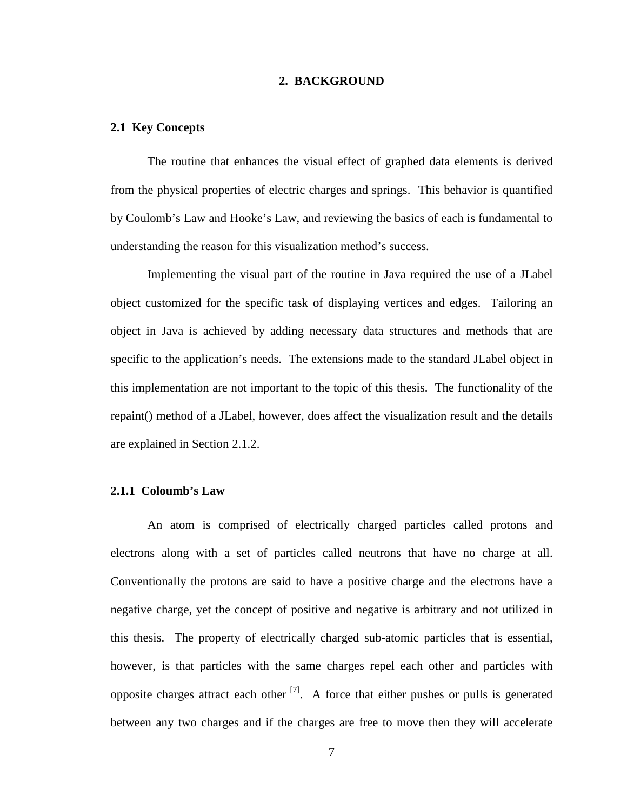### **2. BACKGROUND**

#### **2.1 Key Concepts**

The routine that enhances the visual effect of graphed data elements is derived from the physical properties of electric charges and springs. This behavior is quantified by Coulomb's Law and Hooke's Law, and reviewing the basics of each is fundamental to understanding the reason for this visualization method's success.

Implementing the visual part of the routine in Java required the use of a JLabel object customized for the specific task of displaying vertices and edges. Tailoring an object in Java is achieved by adding necessary data structures and methods that are specific to the application's needs. The extensions made to the standard JLabel object in this implementation are not important to the topic of this thesis. The functionality of the repaint() method of a JLabel, however, does affect the visualization result and the details are explained in Section 2.1.2.

### **2.1.1 Coloumb's Law**

An atom is comprised of electrically charged particles called protons and electrons along with a set of particles called neutrons that have no charge at all. Conventionally the protons are said to have a positive charge and the electrons have a negative charge, yet the concept of positive and negative is arbitrary and not utilized in this thesis. The property of electrically charged sub-atomic particles that is essential, however, is that particles with the same charges repel each other and particles with opposite charges attract each other  $^{[7]}$ . A force that either pushes or pulls is generated between any two charges and if the charges are free to move then they will accelerate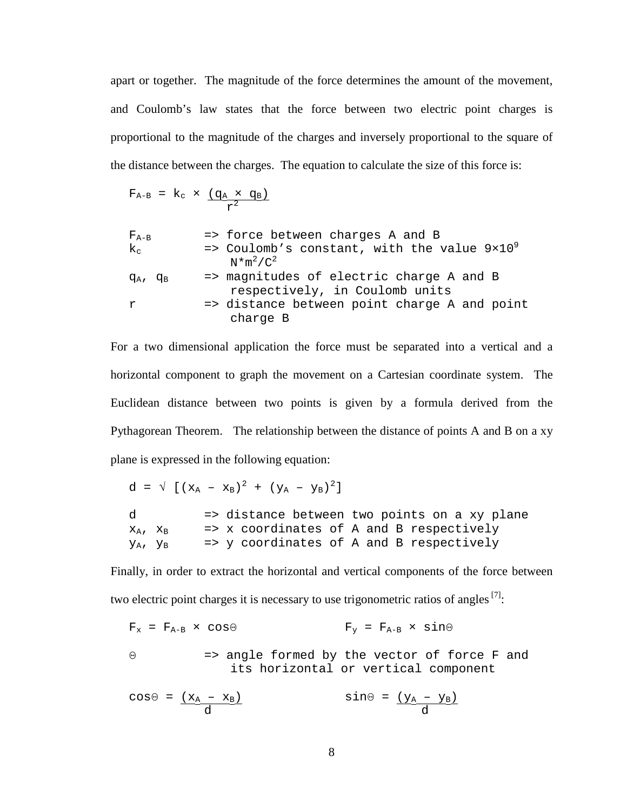apart or together. The magnitude of the force determines the amount of the movement, and Coulomb's law states that the force between two electric point charges is proportional to the magnitude of the charges and inversely proportional to the square of the distance between the charges. The equation to calculate the size of this force is:

$$
F_{A-B} = k_c \times \frac{(q_A \times q_B)}{r^2}
$$

| $F_{A-B}$     | => force between charges A and B                                                |
|---------------|---------------------------------------------------------------------------------|
| $k_{c}$       | $\Rightarrow$ Coulomb's constant, with the value $9\times10^{9}$<br>$N*m^2/C^2$ |
| $q_A$ , $q_B$ | => magnitudes of electric charge A and B<br>respectively, in Coulomb units      |
| r             | => distance between point charge A and point<br>charge B                        |

For a two dimensional application the force must be separated into a vertical and a horizontal component to graph the movement on a Cartesian coordinate system. The Euclidean distance between two points is given by a formula derived from the Pythagorean Theorem. The relationship between the distance of points A and B on a xy plane is expressed in the following equation:

 $d = \sqrt[(x_A - x_B)^2 + (y_A - y_B)^2]$ d => distance between two points on a xy plane  $x_A$ ,  $x_B$  => x coordinates of A and B respectively  $y_A$ ,  $y_B$  => y coordinates of A and B respectively

Finally, in order to extract the horizontal and vertical components of the force between two electric point charges it is necessary to use trigonometric ratios of angles  $^{[7]}$ :

$$
F_x = F_{A-B} \times \cos \Theta
$$
  $F_y = F_{A-B} \times \sin \Theta$ 

Θ => angle formed by the vector of force F and its horizontal or vertical component

$$
\cos\Theta = \frac{(x_A - x_B)}{d} \qquad \qquad \sin\Theta = \frac{(y_A - y_B)}{d}
$$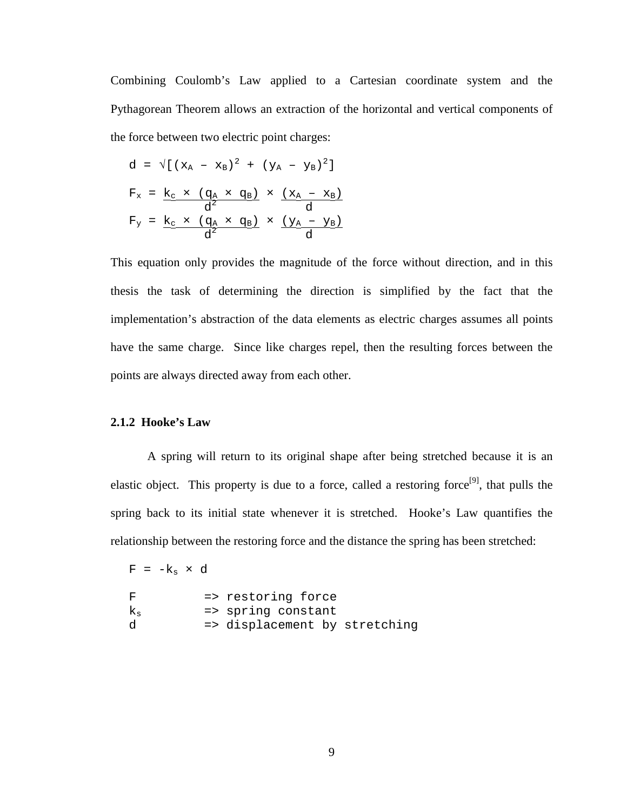Combining Coulomb's Law applied to a Cartesian coordinate system and the Pythagorean Theorem allows an extraction of the horizontal and vertical components of the force between two electric point charges:

$$
d = \sqrt{[(x_A - x_B)^2 + (y_A - y_B)^2]}
$$
  
\n
$$
F_x = \frac{k_c \times (q_A \times q_B)}{d^2} \times \frac{(x_A - x_B)}{d}
$$
  
\n
$$
F_y = \frac{k_c \times (q_A \times q_B)}{d^2} \times \frac{(y_A - y_B)}{d}
$$

This equation only provides the magnitude of the force without direction, and in this thesis the task of determining the direction is simplified by the fact that the implementation's abstraction of the data elements as electric charges assumes all points have the same charge. Since like charges repel, then the resulting forces between the points are always directed away from each other.

## **2.1.2 Hooke's Law**

A spring will return to its original shape after being stretched because it is an elastic object. This property is due to a force, called a restoring force<sup>[9]</sup>, that pulls the spring back to its initial state whenever it is stretched. Hooke's Law quantifies the relationship between the restoring force and the distance the spring has been stretched:

|           | $F = -k_{s} \times d$ |  |                               |
|-----------|-----------------------|--|-------------------------------|
| F         |                       |  | => restoring force            |
| $\rm k_s$ |                       |  | => spring constant            |
| P.        |                       |  | => displacement by stretching |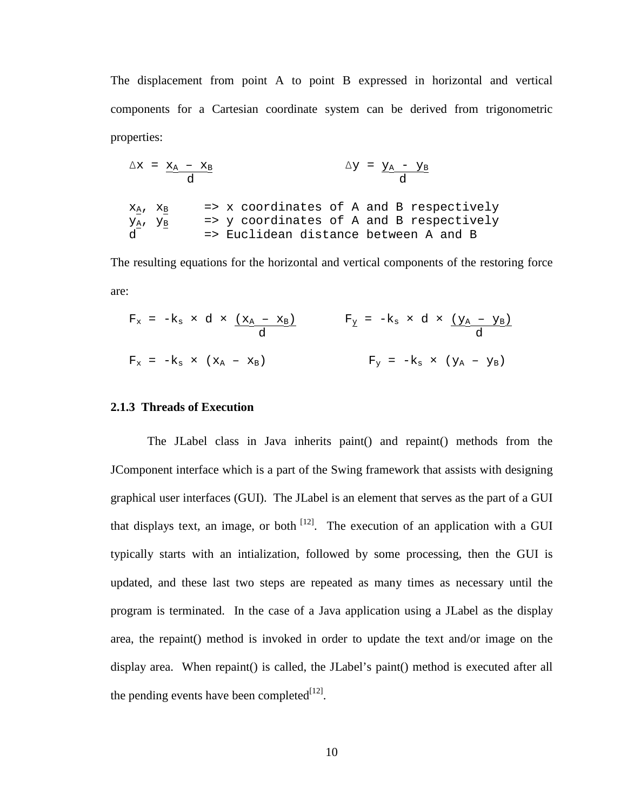The displacement from point A to point B expressed in horizontal and vertical components for a Cartesian coordinate system can be derived from trigonometric properties:

$$
\Delta x = \underline{x_A - x_B} \qquad \Delta y = \underline{y_A - y_B} \qquad d
$$
\n
$$
\underline{x_A}, \underline{x_B} \qquad \Rightarrow \underline{x} \text{ coordinates of A and B respectively}
$$
\n
$$
\underline{y_A}, \underline{y_B} \qquad \Rightarrow \underline{y} \text{ coordinates of A and B respectively}
$$
\n
$$
\underline{d} \qquad \Rightarrow \text{Euclidean distance between A and B}
$$

The resulting equations for the horizontal and vertical components of the restoring force are:

$$
F_x = -k_s \times d \times \underbrace{(x_A - x_B)}_{d}
$$
\n
$$
F_y = -k_s \times d \times \underbrace{(y_A - y_B)}_{d}
$$
\n
$$
F_y = -k_s \times (y_A - y_B)
$$
\n
$$
F_y = -k_s \times (y_A - y_B)
$$

## **2.1.3 Threads of Execution**

The JLabel class in Java inherits paint() and repaint() methods from the JComponent interface which is a part of the Swing framework that assists with designing graphical user interfaces (GUI). The JLabel is an element that serves as the part of a GUI that displays text, an image, or both  $[12]$ . The execution of an application with a GUI typically starts with an intialization, followed by some processing, then the GUI is updated, and these last two steps are repeated as many times as necessary until the program is terminated. In the case of a Java application using a JLabel as the display area, the repaint() method is invoked in order to update the text and/or image on the display area. When repaint() is called, the JLabel's paint() method is executed after all the pending events have been completed $[12]$ .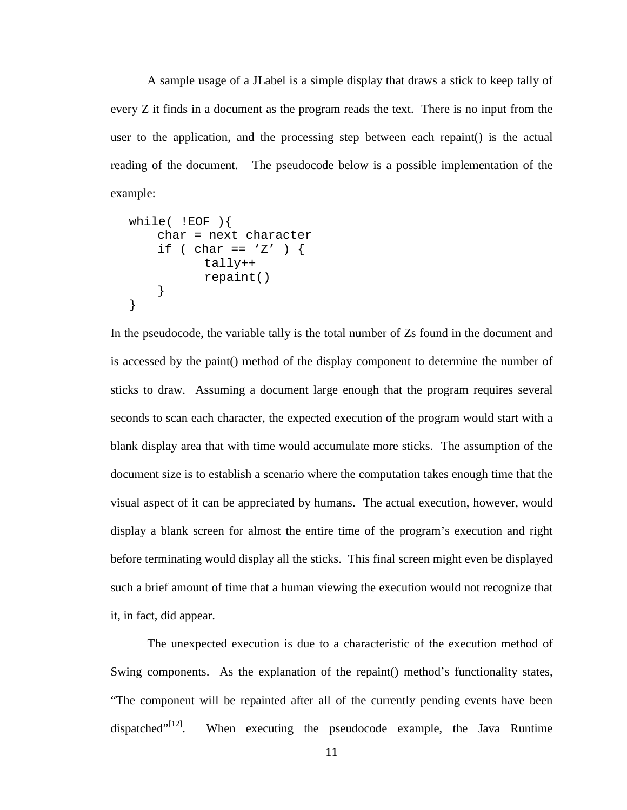A sample usage of a JLabel is a simple display that draws a stick to keep tally of every Z it finds in a document as the program reads the text. There is no input from the user to the application, and the processing step between each repaint() is the actual reading of the document. The pseudocode below is a possible implementation of the example:

```
while( !EOF ) {
     char = next character 
    if ( char == 'Z' ) {
             tally++ 
             repaint() 
      } 
}
```
In the pseudocode, the variable tally is the total number of Zs found in the document and is accessed by the paint() method of the display component to determine the number of sticks to draw. Assuming a document large enough that the program requires several seconds to scan each character, the expected execution of the program would start with a blank display area that with time would accumulate more sticks. The assumption of the document size is to establish a scenario where the computation takes enough time that the visual aspect of it can be appreciated by humans. The actual execution, however, would display a blank screen for almost the entire time of the program's execution and right before terminating would display all the sticks. This final screen might even be displayed such a brief amount of time that a human viewing the execution would not recognize that it, in fact, did appear.

The unexpected execution is due to a characteristic of the execution method of Swing components. As the explanation of the repaint() method's functionality states, "The component will be repainted after all of the currently pending events have been dispatched $"^{[12]}$ . When executing the pseudocode example, the Java Runtime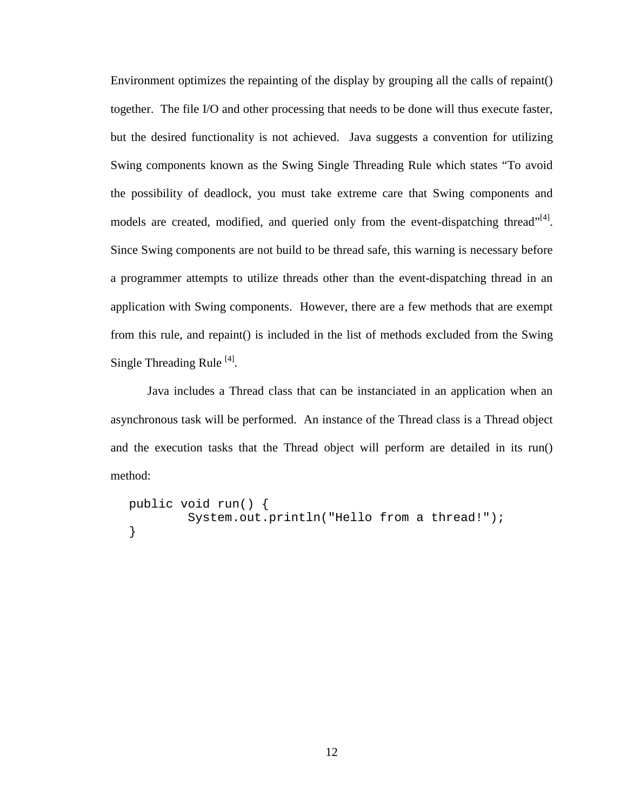Environment optimizes the repainting of the display by grouping all the calls of repaint() together. The file I/O and other processing that needs to be done will thus execute faster, but the desired functionality is not achieved. Java suggests a convention for utilizing Swing components known as the Swing Single Threading Rule which states "To avoid the possibility of deadlock, you must take extreme care that Swing components and models are created, modified, and queried only from the event-dispatching thread"<sup>[4]</sup>. Since Swing components are not build to be thread safe, this warning is necessary before a programmer attempts to utilize threads other than the event-dispatching thread in an application with Swing components. However, there are a few methods that are exempt from this rule, and repaint() is included in the list of methods excluded from the Swing Single Threading Rule<sup>[4]</sup>.

Java includes a Thread class that can be instanciated in an application when an asynchronous task will be performed. An instance of the Thread class is a Thread object and the execution tasks that the Thread object will perform are detailed in its run() method:

```
public void run() { 
         System.out.println("Hello from a thread!");
}
```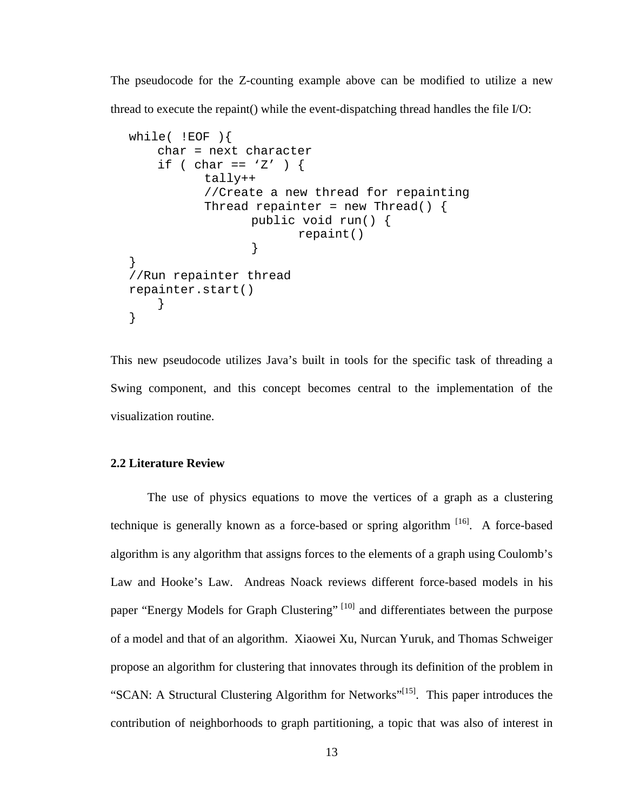The pseudocode for the Z-counting example above can be modified to utilize a new thread to execute the repaint() while the event-dispatching thread handles the file I/O:

```
while(!EOF){
     char = next character 
    if ( char == 'Z' ) {
           tally++ 
           //Create a new thread for repainting 
          Thread repainter = new Thread() {
                  public void run() { 
                        repaint() 
 } 
} 
//Run repainter thread 
repainter.start() 
     } 
}
```
This new pseudocode utilizes Java's built in tools for the specific task of threading a Swing component, and this concept becomes central to the implementation of the visualization routine.

## **2.2 Literature Review**

 The use of physics equations to move the vertices of a graph as a clustering technique is generally known as a force-based or spring algorithm  $[16]$ . A force-based algorithm is any algorithm that assigns forces to the elements of a graph using Coulomb's Law and Hooke's Law. Andreas Noack reviews different force-based models in his paper "Energy Models for Graph Clustering" <sup>[10]</sup> and differentiates between the purpose of a model and that of an algorithm. Xiaowei Xu, Nurcan Yuruk, and Thomas Schweiger propose an algorithm for clustering that innovates through its definition of the problem in "SCAN: A Structural Clustering Algorithm for Networks"<sup>[15]</sup>. This paper introduces the contribution of neighborhoods to graph partitioning, a topic that was also of interest in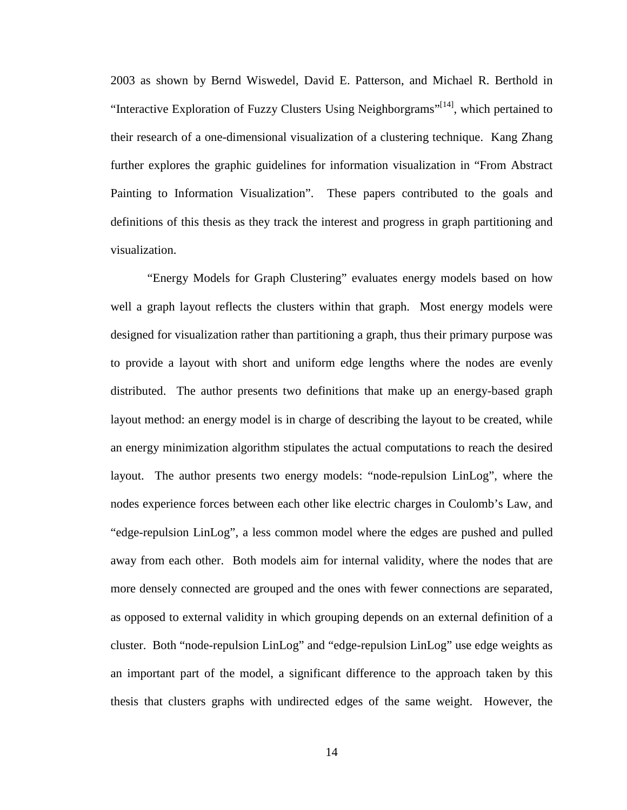2003 as shown by Bernd Wiswedel, David E. Patterson, and Michael R. Berthold in "Interactive Exploration of Fuzzy Clusters Using Neighborgrams"<sup>[14]</sup>, which pertained to their research of a one-dimensional visualization of a clustering technique. Kang Zhang further explores the graphic guidelines for information visualization in "From Abstract Painting to Information Visualization". These papers contributed to the goals and definitions of this thesis as they track the interest and progress in graph partitioning and visualization.

 "Energy Models for Graph Clustering" evaluates energy models based on how well a graph layout reflects the clusters within that graph. Most energy models were designed for visualization rather than partitioning a graph, thus their primary purpose was to provide a layout with short and uniform edge lengths where the nodes are evenly distributed. The author presents two definitions that make up an energy-based graph layout method: an energy model is in charge of describing the layout to be created, while an energy minimization algorithm stipulates the actual computations to reach the desired layout. The author presents two energy models: "node-repulsion LinLog", where the nodes experience forces between each other like electric charges in Coulomb's Law, and "edge-repulsion LinLog", a less common model where the edges are pushed and pulled away from each other. Both models aim for internal validity, where the nodes that are more densely connected are grouped and the ones with fewer connections are separated, as opposed to external validity in which grouping depends on an external definition of a cluster. Both "node-repulsion LinLog" and "edge-repulsion LinLog" use edge weights as an important part of the model, a significant difference to the approach taken by this thesis that clusters graphs with undirected edges of the same weight. However, the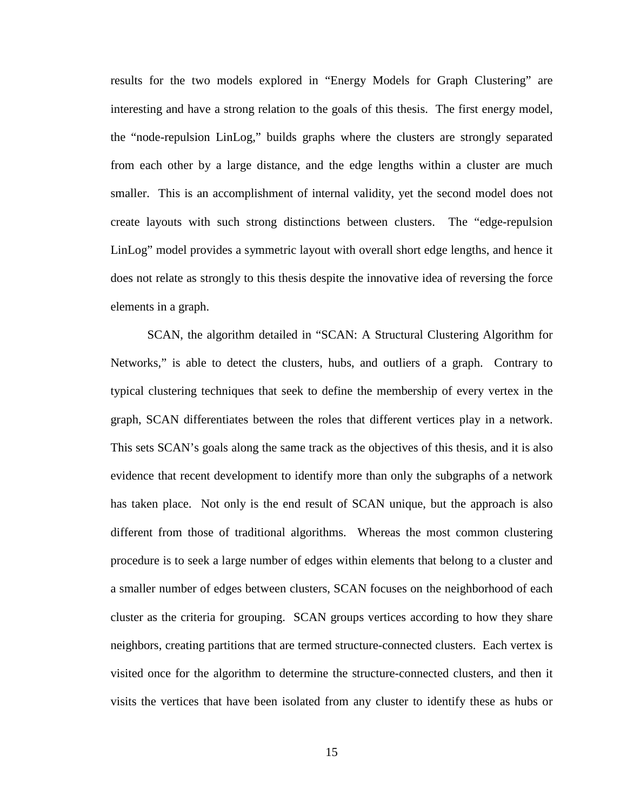results for the two models explored in "Energy Models for Graph Clustering" are interesting and have a strong relation to the goals of this thesis. The first energy model, the "node-repulsion LinLog," builds graphs where the clusters are strongly separated from each other by a large distance, and the edge lengths within a cluster are much smaller. This is an accomplishment of internal validity, yet the second model does not create layouts with such strong distinctions between clusters. The "edge-repulsion LinLog" model provides a symmetric layout with overall short edge lengths, and hence it does not relate as strongly to this thesis despite the innovative idea of reversing the force elements in a graph.

 SCAN, the algorithm detailed in "SCAN: A Structural Clustering Algorithm for Networks," is able to detect the clusters, hubs, and outliers of a graph. Contrary to typical clustering techniques that seek to define the membership of every vertex in the graph, SCAN differentiates between the roles that different vertices play in a network. This sets SCAN's goals along the same track as the objectives of this thesis, and it is also evidence that recent development to identify more than only the subgraphs of a network has taken place. Not only is the end result of SCAN unique, but the approach is also different from those of traditional algorithms. Whereas the most common clustering procedure is to seek a large number of edges within elements that belong to a cluster and a smaller number of edges between clusters, SCAN focuses on the neighborhood of each cluster as the criteria for grouping. SCAN groups vertices according to how they share neighbors, creating partitions that are termed structure-connected clusters. Each vertex is visited once for the algorithm to determine the structure-connected clusters, and then it visits the vertices that have been isolated from any cluster to identify these as hubs or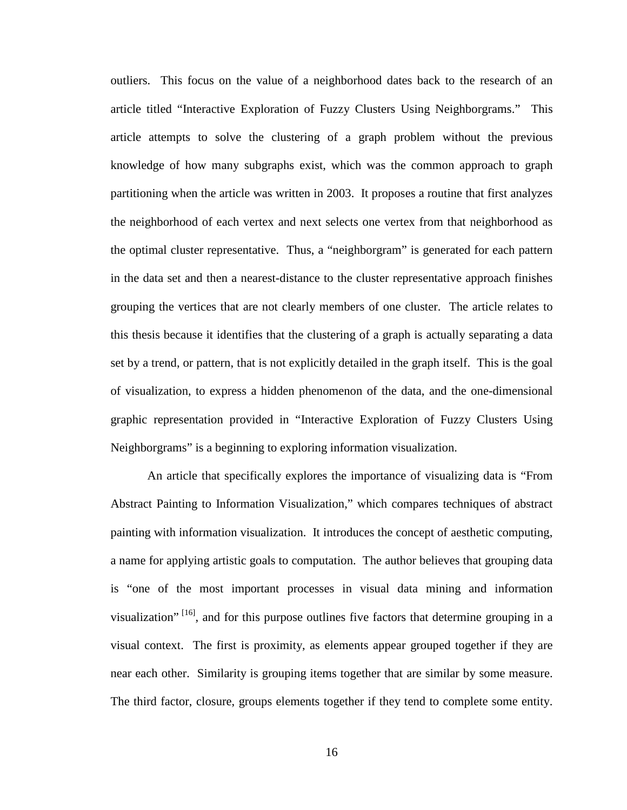outliers. This focus on the value of a neighborhood dates back to the research of an article titled "Interactive Exploration of Fuzzy Clusters Using Neighborgrams." This article attempts to solve the clustering of a graph problem without the previous knowledge of how many subgraphs exist, which was the common approach to graph partitioning when the article was written in 2003. It proposes a routine that first analyzes the neighborhood of each vertex and next selects one vertex from that neighborhood as the optimal cluster representative. Thus, a "neighborgram" is generated for each pattern in the data set and then a nearest-distance to the cluster representative approach finishes grouping the vertices that are not clearly members of one cluster. The article relates to this thesis because it identifies that the clustering of a graph is actually separating a data set by a trend, or pattern, that is not explicitly detailed in the graph itself. This is the goal of visualization, to express a hidden phenomenon of the data, and the one-dimensional graphic representation provided in "Interactive Exploration of Fuzzy Clusters Using Neighborgrams" is a beginning to exploring information visualization.

 An article that specifically explores the importance of visualizing data is "From Abstract Painting to Information Visualization," which compares techniques of abstract painting with information visualization. It introduces the concept of aesthetic computing, a name for applying artistic goals to computation. The author believes that grouping data is "one of the most important processes in visual data mining and information visualization"  $[16]$ , and for this purpose outlines five factors that determine grouping in a visual context. The first is proximity, as elements appear grouped together if they are near each other. Similarity is grouping items together that are similar by some measure. The third factor, closure, groups elements together if they tend to complete some entity.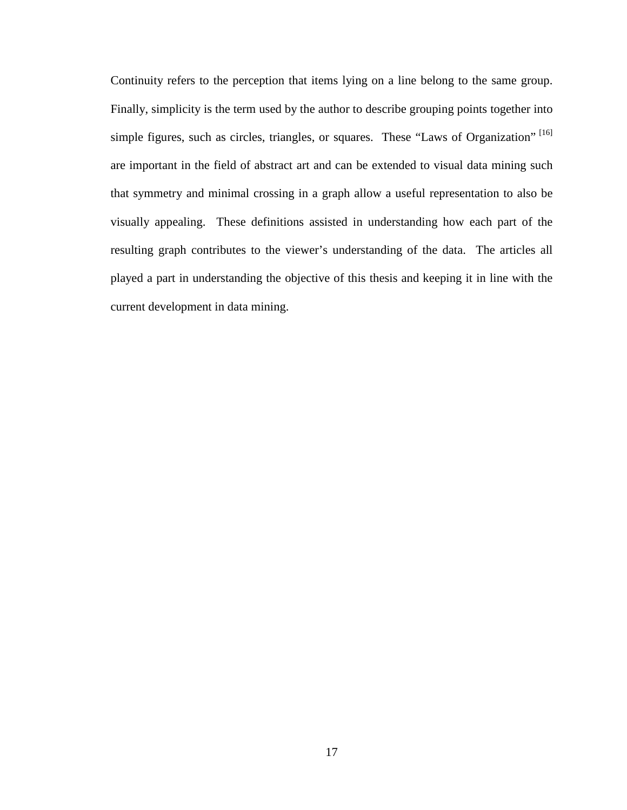Continuity refers to the perception that items lying on a line belong to the same group. Finally, simplicity is the term used by the author to describe grouping points together into simple figures, such as circles, triangles, or squares. These "Laws of Organization"  $[16]$ are important in the field of abstract art and can be extended to visual data mining such that symmetry and minimal crossing in a graph allow a useful representation to also be visually appealing. These definitions assisted in understanding how each part of the resulting graph contributes to the viewer's understanding of the data. The articles all played a part in understanding the objective of this thesis and keeping it in line with the current development in data mining.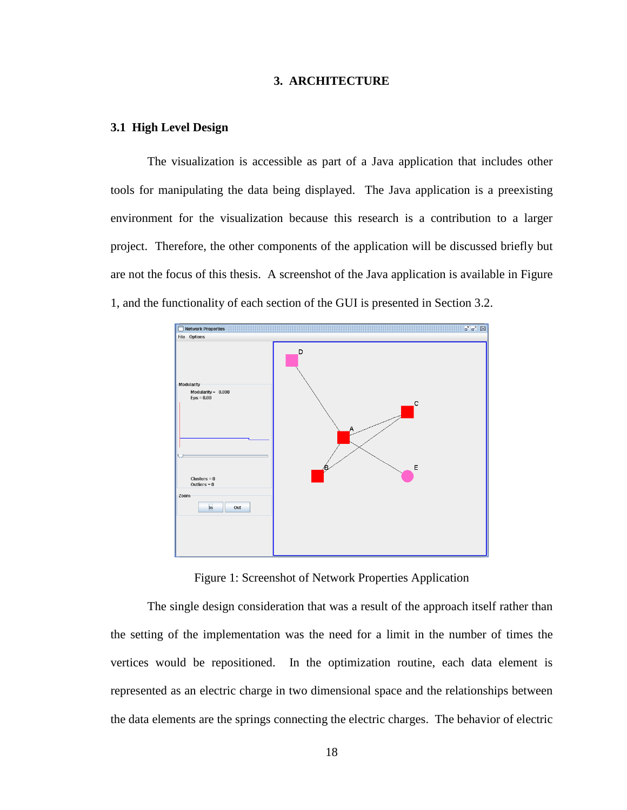### **3. ARCHITECTURE**

#### **3.1 High Level Design**

The visualization is accessible as part of a Java application that includes other tools for manipulating the data being displayed. The Java application is a preexisting environment for the visualization because this research is a contribution to a larger project. Therefore, the other components of the application will be discussed briefly but are not the focus of this thesis. A screenshot of the Java application is available in Figure 1, and the functionality of each section of the GUI is presented in Section 3.2.



Figure 1: Screenshot of Network Properties Application

The single design consideration that was a result of the approach itself rather than the setting of the implementation was the need for a limit in the number of times the vertices would be repositioned. In the optimization routine, each data element is represented as an electric charge in two dimensional space and the relationships between the data elements are the springs connecting the electric charges. The behavior of electric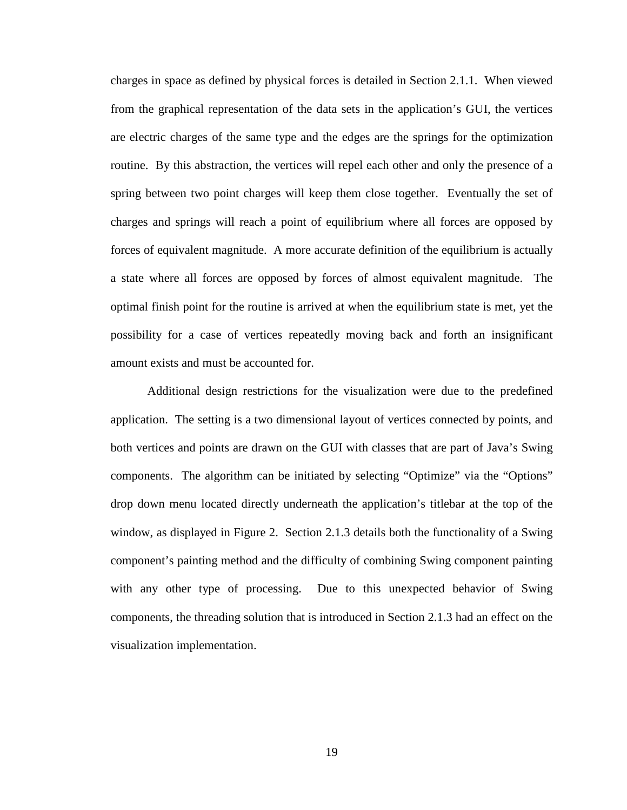charges in space as defined by physical forces is detailed in Section 2.1.1. When viewed from the graphical representation of the data sets in the application's GUI, the vertices are electric charges of the same type and the edges are the springs for the optimization routine. By this abstraction, the vertices will repel each other and only the presence of a spring between two point charges will keep them close together. Eventually the set of charges and springs will reach a point of equilibrium where all forces are opposed by forces of equivalent magnitude. A more accurate definition of the equilibrium is actually a state where all forces are opposed by forces of almost equivalent magnitude. The optimal finish point for the routine is arrived at when the equilibrium state is met, yet the possibility for a case of vertices repeatedly moving back and forth an insignificant amount exists and must be accounted for.

Additional design restrictions for the visualization were due to the predefined application. The setting is a two dimensional layout of vertices connected by points, and both vertices and points are drawn on the GUI with classes that are part of Java's Swing components. The algorithm can be initiated by selecting "Optimize" via the "Options" drop down menu located directly underneath the application's titlebar at the top of the window, as displayed in Figure 2. Section 2.1.3 details both the functionality of a Swing component's painting method and the difficulty of combining Swing component painting with any other type of processing. Due to this unexpected behavior of Swing components, the threading solution that is introduced in Section 2.1.3 had an effect on the visualization implementation.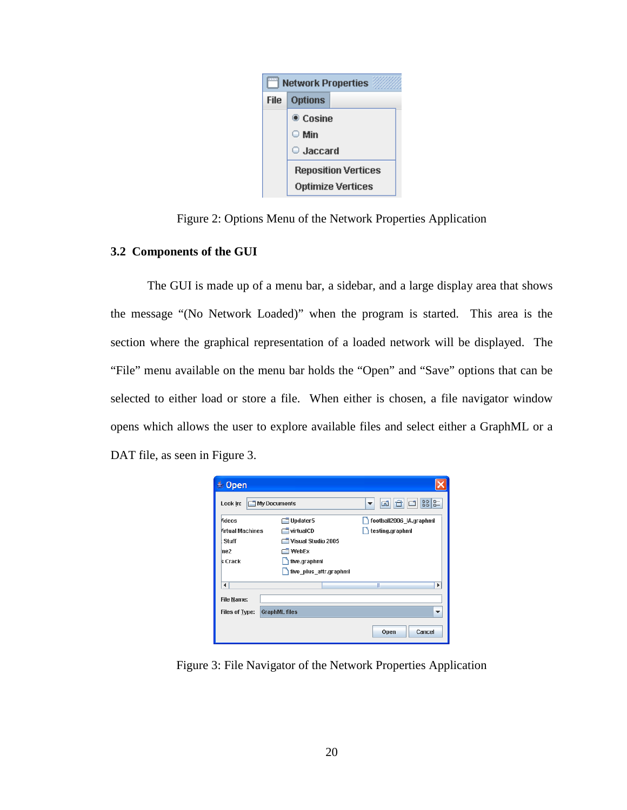

Figure 2: Options Menu of the Network Properties Application

## **3.2 Components of the GUI**

The GUI is made up of a menu bar, a sidebar, and a large display area that shows the message "(No Network Loaded)" when the program is started. This area is the section where the graphical representation of a loaded network will be displayed. The "File" menu available on the menu bar holds the "Open" and "Save" options that can be selected to either load or store a file. When either is chosen, a file navigator window opens which allows the user to explore available files and select either a GraphML or a DAT file, as seen in Figure 3.



Figure 3: File Navigator of the Network Properties Application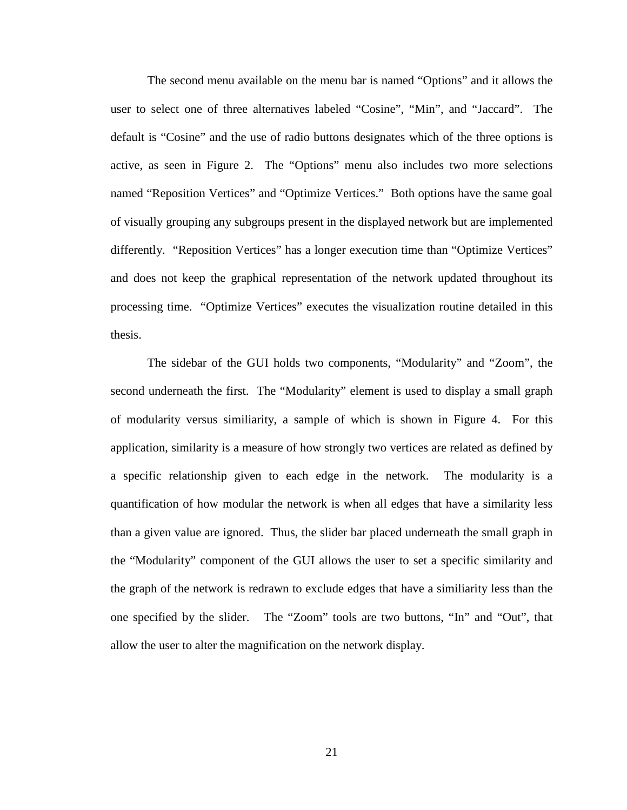The second menu available on the menu bar is named "Options" and it allows the user to select one of three alternatives labeled "Cosine", "Min", and "Jaccard". The default is "Cosine" and the use of radio buttons designates which of the three options is active, as seen in Figure 2. The "Options" menu also includes two more selections named "Reposition Vertices" and "Optimize Vertices." Both options have the same goal of visually grouping any subgroups present in the displayed network but are implemented differently. "Reposition Vertices" has a longer execution time than "Optimize Vertices" and does not keep the graphical representation of the network updated throughout its processing time. "Optimize Vertices" executes the visualization routine detailed in this thesis.

The sidebar of the GUI holds two components, "Modularity" and "Zoom", the second underneath the first. The "Modularity" element is used to display a small graph of modularity versus similiarity, a sample of which is shown in Figure 4. For this application, similarity is a measure of how strongly two vertices are related as defined by a specific relationship given to each edge in the network. The modularity is a quantification of how modular the network is when all edges that have a similarity less than a given value are ignored. Thus, the slider bar placed underneath the small graph in the "Modularity" component of the GUI allows the user to set a specific similarity and the graph of the network is redrawn to exclude edges that have a similiarity less than the one specified by the slider. The "Zoom" tools are two buttons, "In" and "Out", that allow the user to alter the magnification on the network display.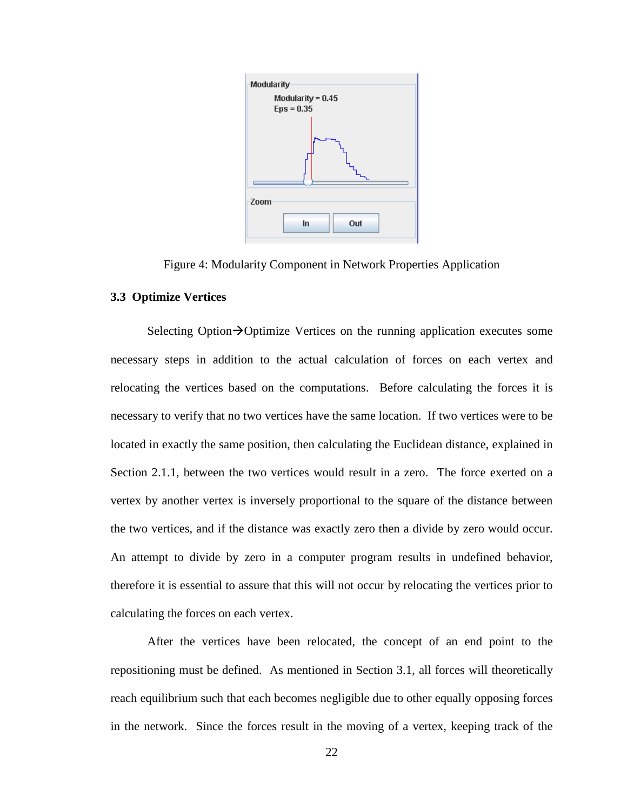

Figure 4: Modularity Component in Network Properties Application

## **3.3 Optimize Vertices**

Selecting Option $\rightarrow$ Optimize Vertices on the running application executes some necessary steps in addition to the actual calculation of forces on each vertex and relocating the vertices based on the computations. Before calculating the forces it is necessary to verify that no two vertices have the same location. If two vertices were to be located in exactly the same position, then calculating the Euclidean distance, explained in Section 2.1.1, between the two vertices would result in a zero. The force exerted on a vertex by another vertex is inversely proportional to the square of the distance between the two vertices, and if the distance was exactly zero then a divide by zero would occur. An attempt to divide by zero in a computer program results in undefined behavior, therefore it is essential to assure that this will not occur by relocating the vertices prior to calculating the forces on each vertex.

After the vertices have been relocated, the concept of an end point to the repositioning must be defined. As mentioned in Section 3.1, all forces will theoretically reach equilibrium such that each becomes negligible due to other equally opposing forces in the network. Since the forces result in the moving of a vertex, keeping track of the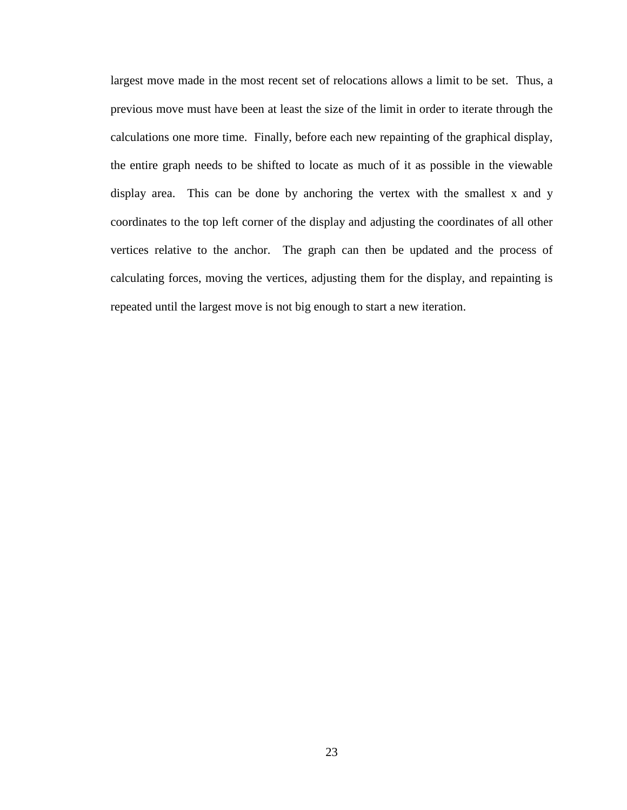largest move made in the most recent set of relocations allows a limit to be set. Thus, a previous move must have been at least the size of the limit in order to iterate through the calculations one more time. Finally, before each new repainting of the graphical display, the entire graph needs to be shifted to locate as much of it as possible in the viewable display area. This can be done by anchoring the vertex with the smallest x and y coordinates to the top left corner of the display and adjusting the coordinates of all other vertices relative to the anchor. The graph can then be updated and the process of calculating forces, moving the vertices, adjusting them for the display, and repainting is repeated until the largest move is not big enough to start a new iteration.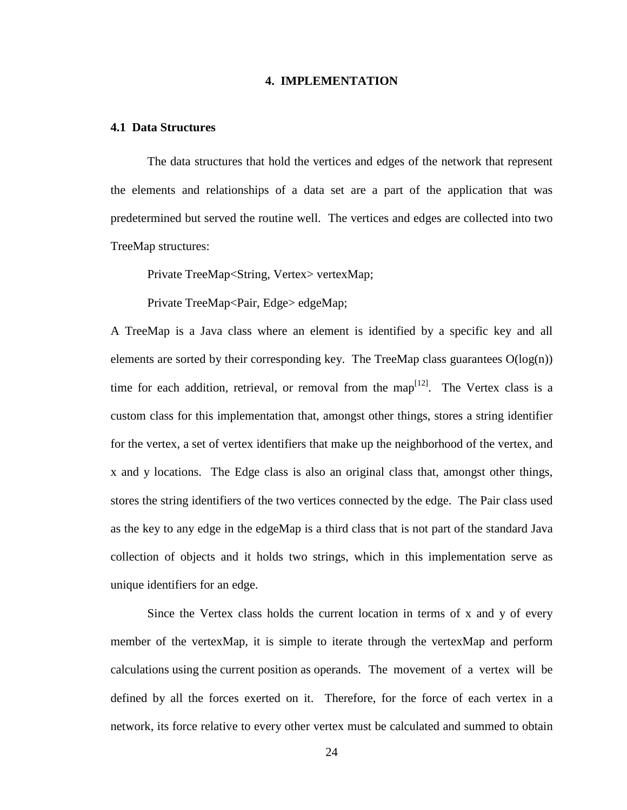#### **4. IMPLEMENTATION**

#### **4.1 Data Structures**

The data structures that hold the vertices and edges of the network that represent the elements and relationships of a data set are a part of the application that was predetermined but served the routine well. The vertices and edges are collected into two TreeMap structures:

Private TreeMap<String, Vertex> vertexMap;

Private TreeMap<Pair, Edge> edgeMap;

A TreeMap is a Java class where an element is identified by a specific key and all elements are sorted by their corresponding key. The TreeMap class guarantees  $O(log(n))$ time for each addition, retrieval, or removal from the map<sup>[12]</sup>. The Vertex class is a custom class for this implementation that, amongst other things, stores a string identifier for the vertex, a set of vertex identifiers that make up the neighborhood of the vertex, and x and y locations. The Edge class is also an original class that, amongst other things, stores the string identifiers of the two vertices connected by the edge. The Pair class used as the key to any edge in the edgeMap is a third class that is not part of the standard Java collection of objects and it holds two strings, which in this implementation serve as unique identifiers for an edge.

 Since the Vertex class holds the current location in terms of x and y of every member of the vertexMap, it is simple to iterate through the vertexMap and perform calculations using the current position as operands. The movement of a vertex will be defined by all the forces exerted on it. Therefore, for the force of each vertex in a network, its force relative to every other vertex must be calculated and summed to obtain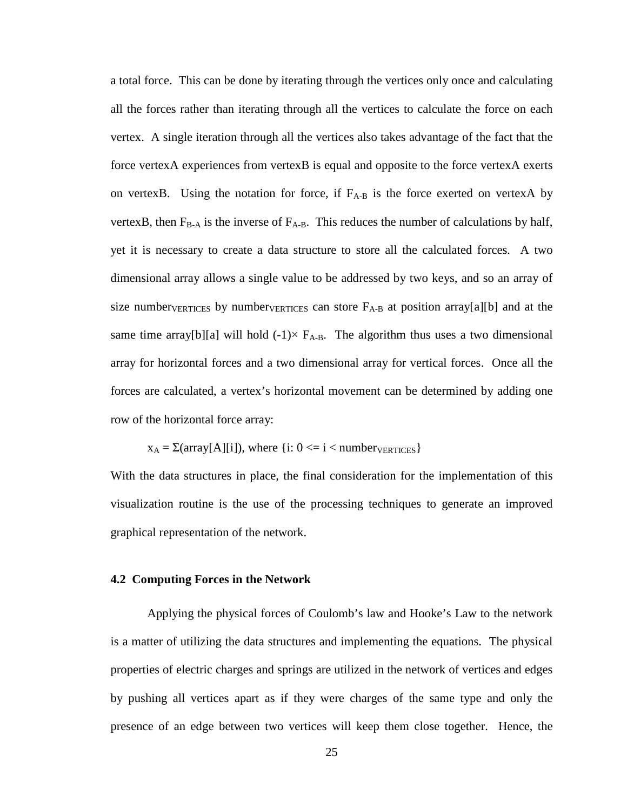a total force. This can be done by iterating through the vertices only once and calculating all the forces rather than iterating through all the vertices to calculate the force on each vertex. A single iteration through all the vertices also takes advantage of the fact that the force vertexA experiences from vertexB is equal and opposite to the force vertexA exerts on vertexB. Using the notation for force, if  $F_{A-B}$  is the force exerted on vertexA by vertexB, then  $F_{B-A}$  is the inverse of  $F_{A-B}$ . This reduces the number of calculations by half, yet it is necessary to create a data structure to store all the calculated forces. A two dimensional array allows a single value to be addressed by two keys, and so an array of size number<sub>VERTICES</sub> by number<sub>VERTICES</sub> can store  $F_{A-B}$  at position array[a][b] and at the same time array[b][a] will hold  $(-1) \times F_{A-B}$ . The algorithm thus uses a two dimensional array for horizontal forces and a two dimensional array for vertical forces. Once all the forces are calculated, a vertex's horizontal movement can be determined by adding one row of the horizontal force array:

 $x_A = \Sigma \text{(array}[A][i])$ , where  $\{i: 0 \le i \le \text{number} \}$ 

With the data structures in place, the final consideration for the implementation of this visualization routine is the use of the processing techniques to generate an improved graphical representation of the network.

## **4.2 Computing Forces in the Network**

 Applying the physical forces of Coulomb's law and Hooke's Law to the network is a matter of utilizing the data structures and implementing the equations. The physical properties of electric charges and springs are utilized in the network of vertices and edges by pushing all vertices apart as if they were charges of the same type and only the presence of an edge between two vertices will keep them close together. Hence, the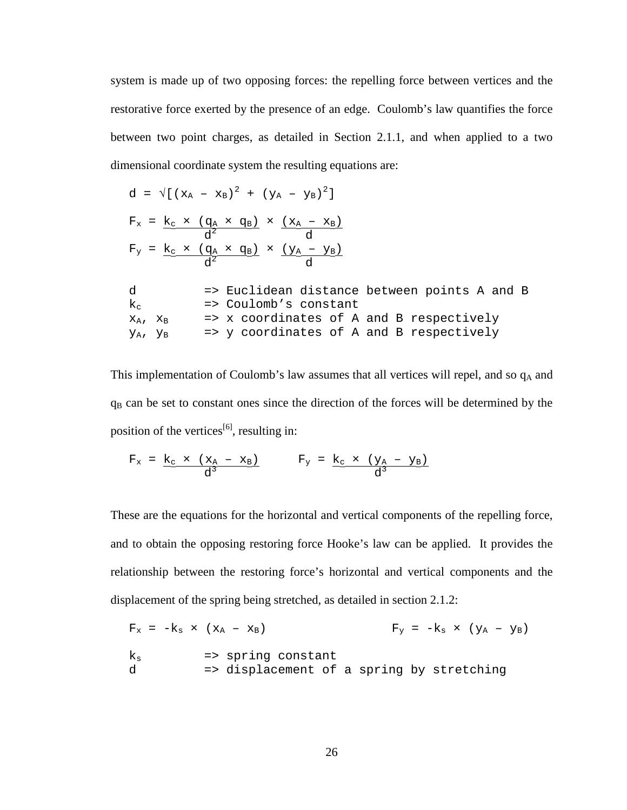system is made up of two opposing forces: the repelling force between vertices and the restorative force exerted by the presence of an edge. Coulomb's law quantifies the force between two point charges, as detailed in Section 2.1.1, and when applied to a two dimensional coordinate system the resulting equations are:

$$
d = \sqrt{[(x_A - x_B)^2 + (y_A - y_B)^2]}
$$
  
\n
$$
F_x = \underline{k_c} \times (\underline{q_A} \times \underline{q_B}) \times (\underline{x_A - x_B})
$$
  
\n
$$
F_y = \underline{k_c} \times (\underline{q_A} \times \underline{q_B}) \times (\underline{y_A - y_B})
$$
  
\n
$$
d = \text{Euclidean distance between points A and B}
$$
  
\n
$$
k_c = \text{Coulomb's constant}
$$
  
\n
$$
x_A, x_B = \text{X coordinates of A and B respectively}
$$
  
\n
$$
y_A, y_B = \text{y coordinates of A and B respectively}
$$

This implementation of Coulomb's law assumes that all vertices will repel, and so  $q_A$  and  $q_B$  can be set to constant ones since the direction of the forces will be determined by the position of the vertices<sup>[6]</sup>, resulting in:

$$
F_x = \underline{k_c \times (x_A - x_B)}{d^3}
$$
 
$$
F_y = \underline{k_c \times (y_A - y_B)}{d^3}
$$

These are the equations for the horizontal and vertical components of the repelling force, and to obtain the opposing restoring force Hooke's law can be applied. It provides the relationship between the restoring force's horizontal and vertical components and the displacement of the spring being stretched, as detailed in section 2.1.2:

$$
F_x = -k_s \times (x_A - x_B)
$$
  
\n $F_y = -k_s \times (y_A - y_B)$   
\n $k_s$   $\Rightarrow$  spring constant  
\n $\Rightarrow$  displacement of a spring by stretching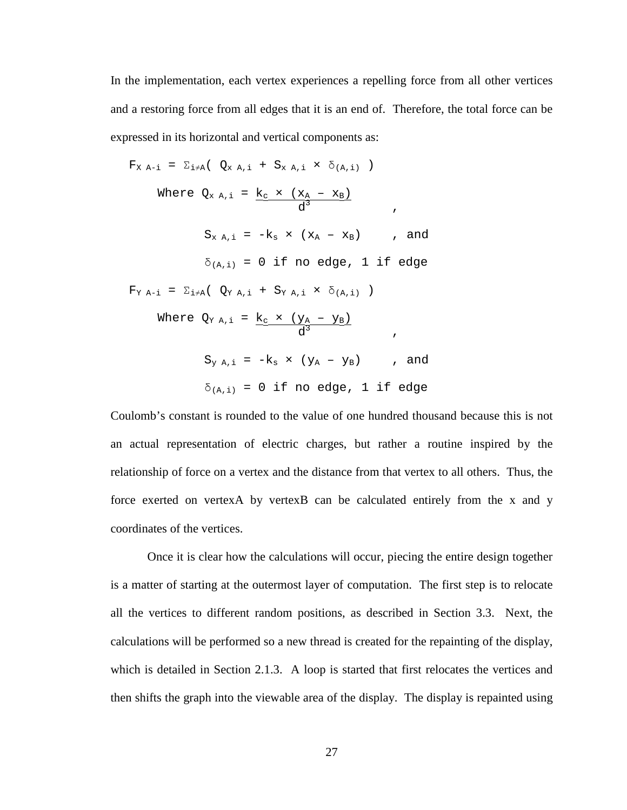In the implementation, each vertex experiences a repelling force from all other vertices and a restoring force from all edges that it is an end of. Therefore, the total force can be expressed in its horizontal and vertical components as:

$$
F_{X A-i} = \sum_{i \neq A} (\mathbf{Q}_{X A,i} + S_{X A,i} \times \delta_{(A,i)})
$$
  
\nWhere  $Q_{X A,i} = \frac{k_{c} \times (x_{A} - x_{B})}{d^{3}}$ ,  
\n
$$
S_{X A,i} = -k_{s} \times (x_{A} - x_{B})
$$
, and  
\n
$$
\delta_{(A,i)} = 0 \text{ if no edge, 1 if edge}
$$
  
\n
$$
F_{Y A-i} = \sum_{i \neq A} (\mathbf{Q}_{Y A,i} + S_{Y A,i} \times \delta_{(A,i)})
$$
  
\nWhere  $Q_{Y A,i} = \frac{k_{c} \times (y_{A} - y_{B})}{d^{3}}$ ,  
\n
$$
S_{Y A,i} = -k_{s} \times (y_{A} - y_{B})
$$
, and  
\n
$$
\delta_{(A,i)} = 0 \text{ if no edge, 1 if edge}
$$

Coulomb's constant is rounded to the value of one hundred thousand because this is not an actual representation of electric charges, but rather a routine inspired by the relationship of force on a vertex and the distance from that vertex to all others. Thus, the force exerted on vertexA by vertexB can be calculated entirely from the x and y coordinates of the vertices.

Once it is clear how the calculations will occur, piecing the entire design together is a matter of starting at the outermost layer of computation. The first step is to relocate all the vertices to different random positions, as described in Section 3.3. Next, the calculations will be performed so a new thread is created for the repainting of the display, which is detailed in Section 2.1.3. A loop is started that first relocates the vertices and then shifts the graph into the viewable area of the display. The display is repainted using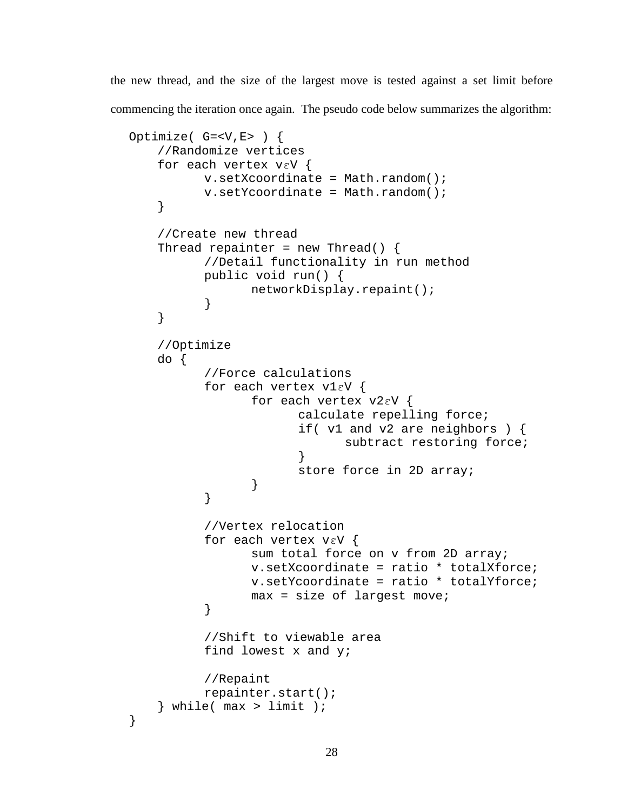the new thread, and the size of the largest move is tested against a set limit before commencing the iteration once again. The pseudo code below summarizes the algorithm:

```
Optimize( G=<V,E> ) { 
     //Randomize vertices 
     for each vertex vεV { 
          v.setXcoordinate = Math.random();
          v.setYcoordinate = Math.random();
     } 
     //Create new thread 
    Thread repainter = new Thread() {
           //Detail functionality in run method 
           public void run() { 
                 networkDisplay.repaint(); 
 } 
     } 
     //Optimize 
     do { 
           //Force calculations 
           for each vertex v1εV { 
                  for each vertex v2εV { 
                        calculate repelling force; 
                        if( v1 and v2 are neighbors ) { 
                               subtract restoring force; 
 } 
                        store force in 2D array; 
 } 
 } 
           //Vertex relocation 
           for each vertex vεV { 
                  sum total force on v from 2D array; 
                  v.setXcoordinate = ratio * totalXforce; 
                  v.setYcoordinate = ratio * totalYforce; 
                 max = size of largest move; } 
           //Shift to viewable area 
           find lowest x and y; 
           //Repaint 
           repainter.start(); 
    \} while( max > limit );
}
```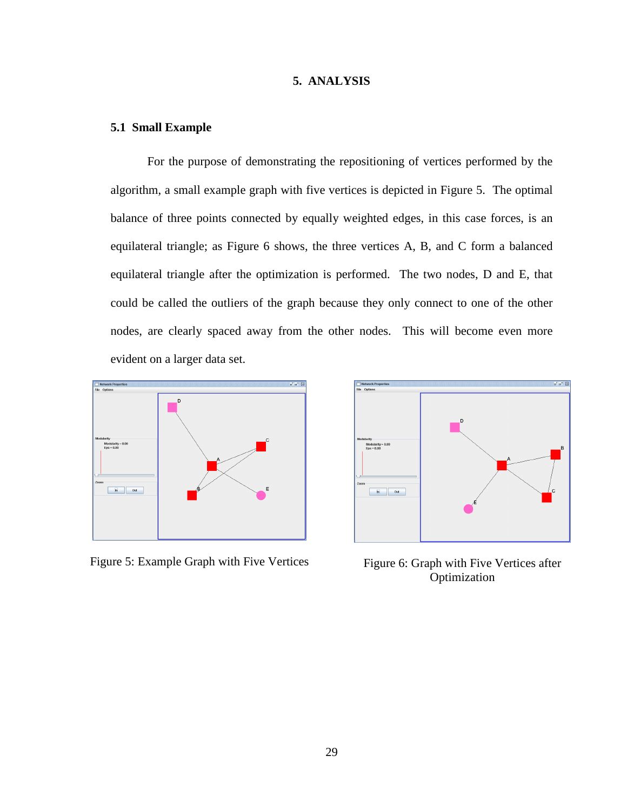## **5. ANALYSIS**

### **5.1 Small Example**

For the purpose of demonstrating the repositioning of vertices performed by the algorithm, a small example graph with five vertices is depicted in Figure 5. The optimal balance of three points connected by equally weighted edges, in this case forces, is an equilateral triangle; as Figure 6 shows, the three vertices A, B, and C form a balanced equilateral triangle after the optimization is performed. The two nodes, D and E, that could be called the outliers of the graph because they only connect to one of the other nodes, are clearly spaced away from the other nodes. This will become even more evident on a larger data set.



Figure 5: Example Graph with Five Vertices Figure 6: Graph with Five Vertices after



Optimization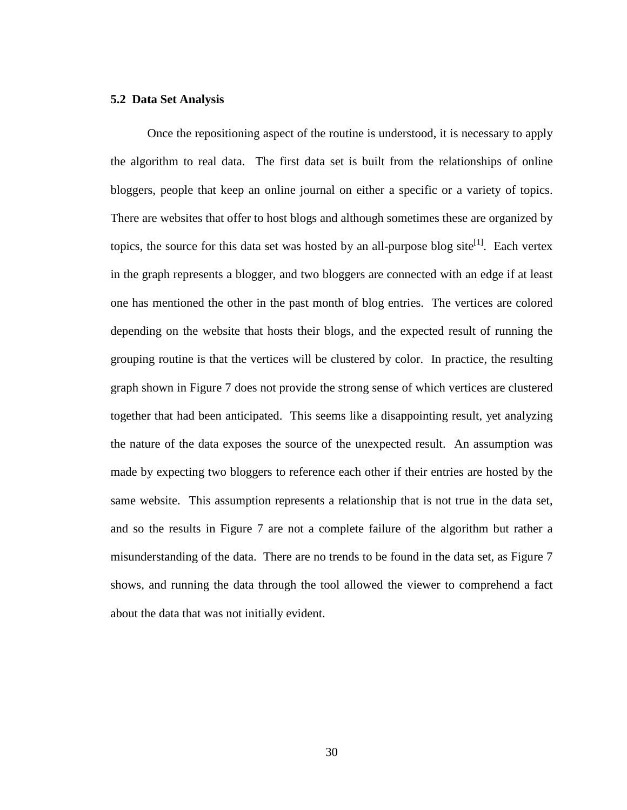#### **5.2 Data Set Analysis**

Once the repositioning aspect of the routine is understood, it is necessary to apply the algorithm to real data. The first data set is built from the relationships of online bloggers, people that keep an online journal on either a specific or a variety of topics. There are websites that offer to host blogs and although sometimes these are organized by topics, the source for this data set was hosted by an all-purpose blog site<sup>[1]</sup>. Each vertex in the graph represents a blogger, and two bloggers are connected with an edge if at least one has mentioned the other in the past month of blog entries. The vertices are colored depending on the website that hosts their blogs, and the expected result of running the grouping routine is that the vertices will be clustered by color. In practice, the resulting graph shown in Figure 7 does not provide the strong sense of which vertices are clustered together that had been anticipated. This seems like a disappointing result, yet analyzing the nature of the data exposes the source of the unexpected result. An assumption was made by expecting two bloggers to reference each other if their entries are hosted by the same website. This assumption represents a relationship that is not true in the data set, and so the results in Figure 7 are not a complete failure of the algorithm but rather a misunderstanding of the data. There are no trends to be found in the data set, as Figure 7 shows, and running the data through the tool allowed the viewer to comprehend a fact about the data that was not initially evident.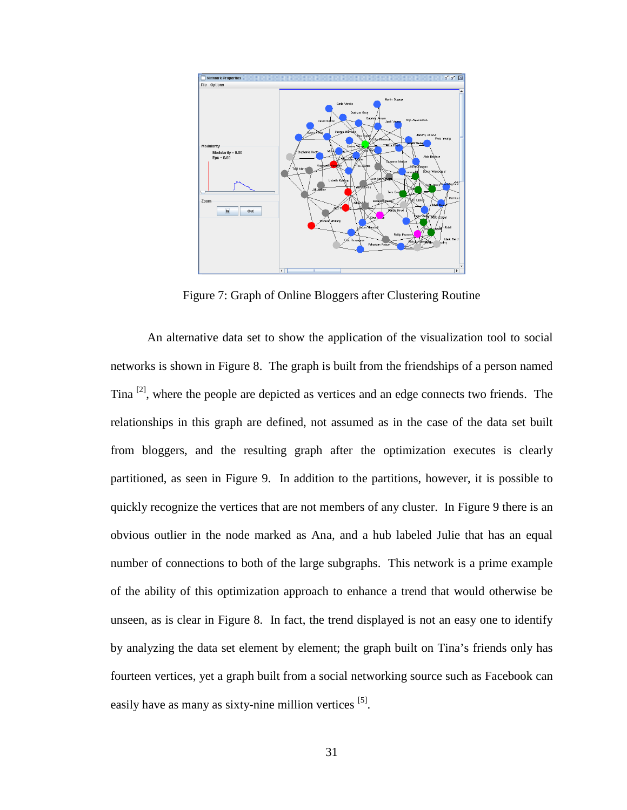

Figure 7: Graph of Online Bloggers after Clustering Routine

An alternative data set to show the application of the visualization tool to social networks is shown in Figure 8. The graph is built from the friendships of a person named Tina  $\left[2\right]$ , where the people are depicted as vertices and an edge connects two friends. The relationships in this graph are defined, not assumed as in the case of the data set built from bloggers, and the resulting graph after the optimization executes is clearly partitioned, as seen in Figure 9. In addition to the partitions, however, it is possible to quickly recognize the vertices that are not members of any cluster. In Figure 9 there is an obvious outlier in the node marked as Ana, and a hub labeled Julie that has an equal number of connections to both of the large subgraphs. This network is a prime example of the ability of this optimization approach to enhance a trend that would otherwise be unseen, as is clear in Figure 8. In fact, the trend displayed is not an easy one to identify by analyzing the data set element by element; the graph built on Tina's friends only has fourteen vertices, yet a graph built from a social networking source such as Facebook can easily have as many as sixty-nine million vertices [5].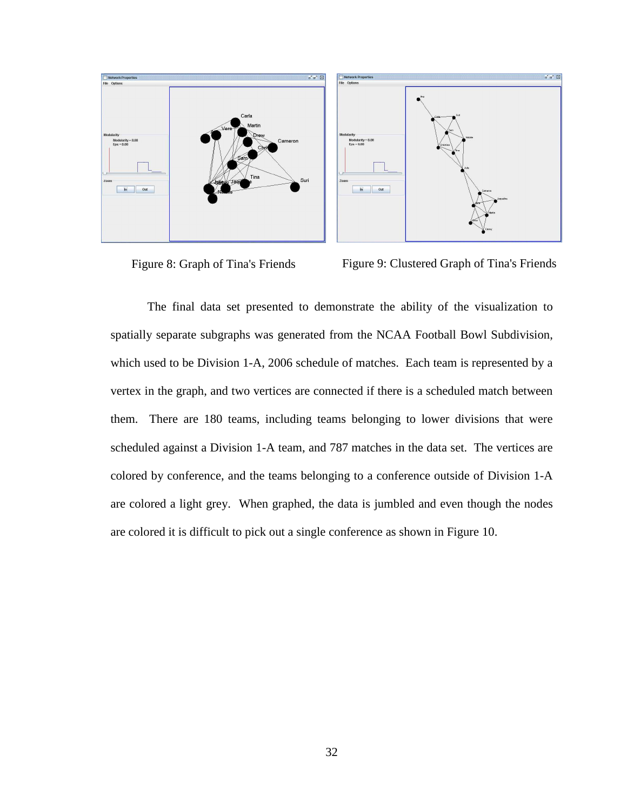

Figure 8: Graph of Tina's Friends Figure 9: Clustered Graph of Tina's Friends

The final data set presented to demonstrate the ability of the visualization to spatially separate subgraphs was generated from the NCAA Football Bowl Subdivision, which used to be Division 1-A, 2006 schedule of matches. Each team is represented by a vertex in the graph, and two vertices are connected if there is a scheduled match between them. There are 180 teams, including teams belonging to lower divisions that were scheduled against a Division 1-A team, and 787 matches in the data set. The vertices are colored by conference, and the teams belonging to a conference outside of Division 1-A are colored a light grey. When graphed, the data is jumbled and even though the nodes are colored it is difficult to pick out a single conference as shown in Figure 10.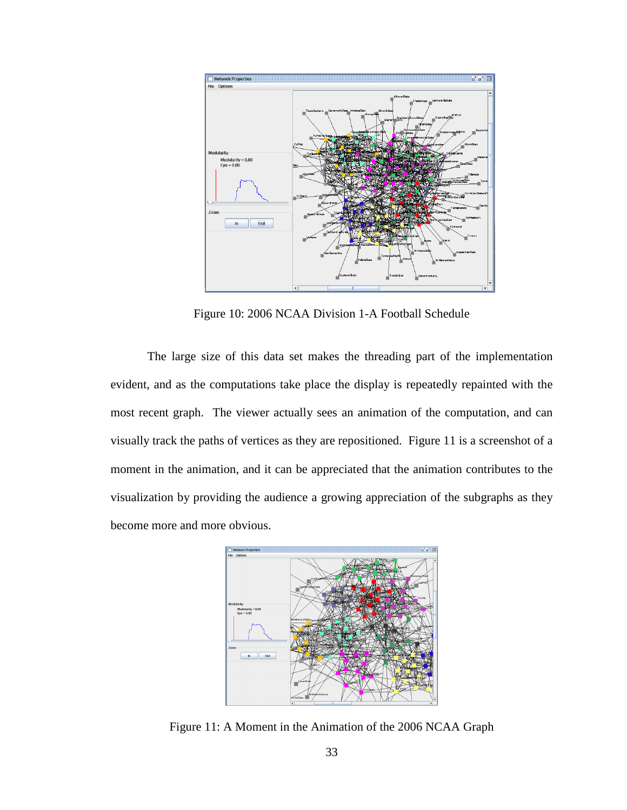

Figure 10: 2006 NCAA Division 1-A Football Schedule

The large size of this data set makes the threading part of the implementation evident, and as the computations take place the display is repeatedly repainted with the most recent graph. The viewer actually sees an animation of the computation, and can visually track the paths of vertices as they are repositioned. Figure 11 is a screenshot of a moment in the animation, and it can be appreciated that the animation contributes to the visualization by providing the audience a growing appreciation of the subgraphs as they become more and more obvious.



Figure 11: A Moment in the Animation of the 2006 NCAA Graph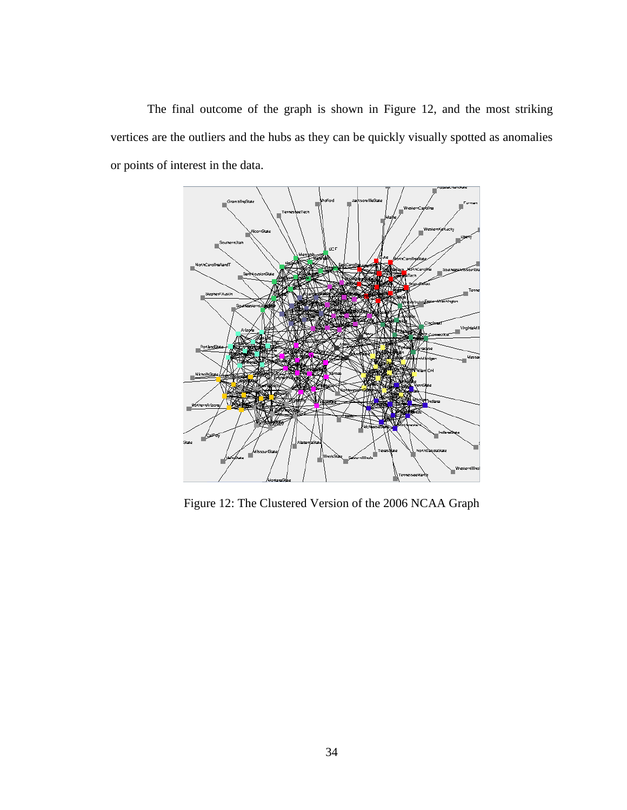The final outcome of the graph is shown in Figure 12, and the most striking vertices are the outliers and the hubs as they can be quickly visually spotted as anomalies or points of interest in the data.



Figure 12: The Clustered Version of the 2006 NCAA Graph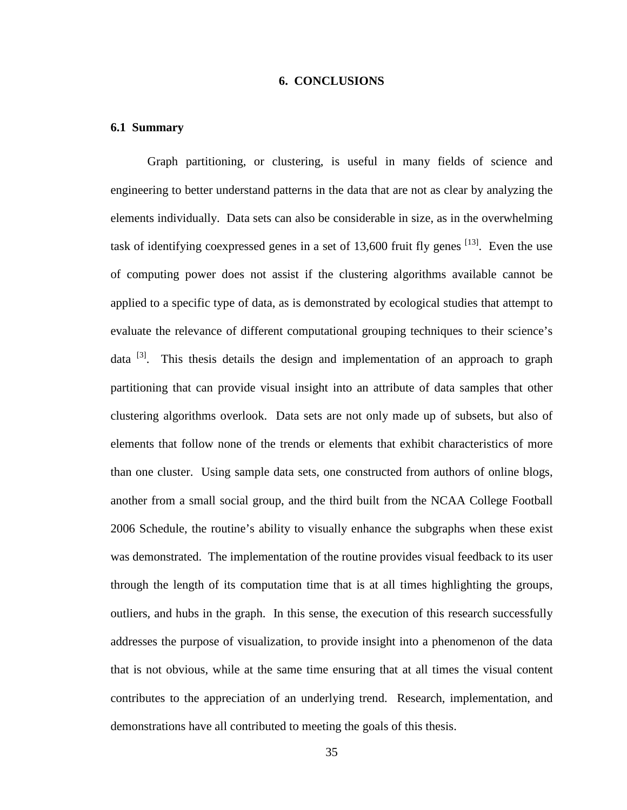### **6. CONCLUSIONS**

#### **6.1 Summary**

Graph partitioning, or clustering, is useful in many fields of science and engineering to better understand patterns in the data that are not as clear by analyzing the elements individually. Data sets can also be considerable in size, as in the overwhelming task of identifying coexpressed genes in a set of  $13,600$  fruit fly genes  $^{[13]}$ . Even the use of computing power does not assist if the clustering algorithms available cannot be applied to a specific type of data, as is demonstrated by ecological studies that attempt to evaluate the relevance of different computational grouping techniques to their science's data  $\left[3\right]$ . This thesis details the design and implementation of an approach to graph partitioning that can provide visual insight into an attribute of data samples that other clustering algorithms overlook. Data sets are not only made up of subsets, but also of elements that follow none of the trends or elements that exhibit characteristics of more than one cluster. Using sample data sets, one constructed from authors of online blogs, another from a small social group, and the third built from the NCAA College Football 2006 Schedule, the routine's ability to visually enhance the subgraphs when these exist was demonstrated. The implementation of the routine provides visual feedback to its user through the length of its computation time that is at all times highlighting the groups, outliers, and hubs in the graph. In this sense, the execution of this research successfully addresses the purpose of visualization, to provide insight into a phenomenon of the data that is not obvious, while at the same time ensuring that at all times the visual content contributes to the appreciation of an underlying trend. Research, implementation, and demonstrations have all contributed to meeting the goals of this thesis.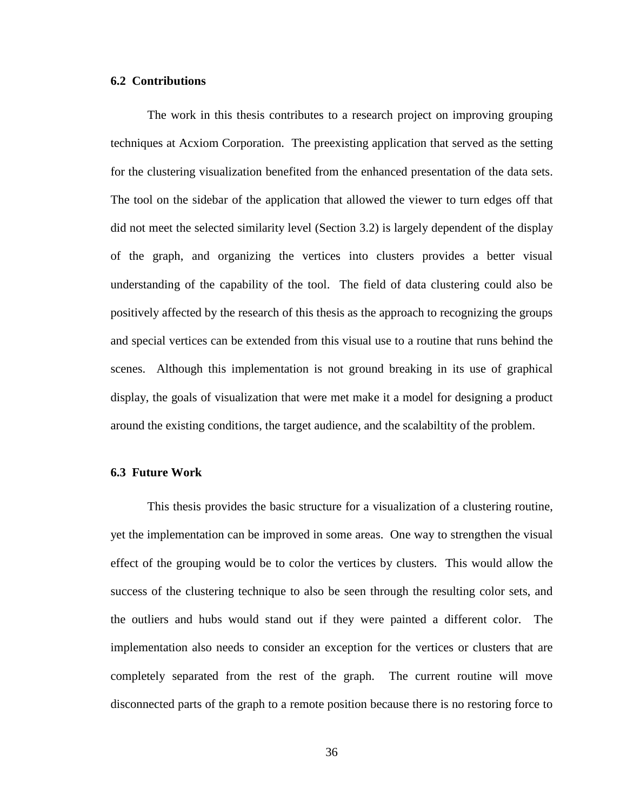## **6.2 Contributions**

The work in this thesis contributes to a research project on improving grouping techniques at Acxiom Corporation. The preexisting application that served as the setting for the clustering visualization benefited from the enhanced presentation of the data sets. The tool on the sidebar of the application that allowed the viewer to turn edges off that did not meet the selected similarity level (Section 3.2) is largely dependent of the display of the graph, and organizing the vertices into clusters provides a better visual understanding of the capability of the tool. The field of data clustering could also be positively affected by the research of this thesis as the approach to recognizing the groups and special vertices can be extended from this visual use to a routine that runs behind the scenes. Although this implementation is not ground breaking in its use of graphical display, the goals of visualization that were met make it a model for designing a product around the existing conditions, the target audience, and the scalabiltity of the problem.

## **6.3 Future Work**

This thesis provides the basic structure for a visualization of a clustering routine, yet the implementation can be improved in some areas. One way to strengthen the visual effect of the grouping would be to color the vertices by clusters. This would allow the success of the clustering technique to also be seen through the resulting color sets, and the outliers and hubs would stand out if they were painted a different color. The implementation also needs to consider an exception for the vertices or clusters that are completely separated from the rest of the graph. The current routine will move disconnected parts of the graph to a remote position because there is no restoring force to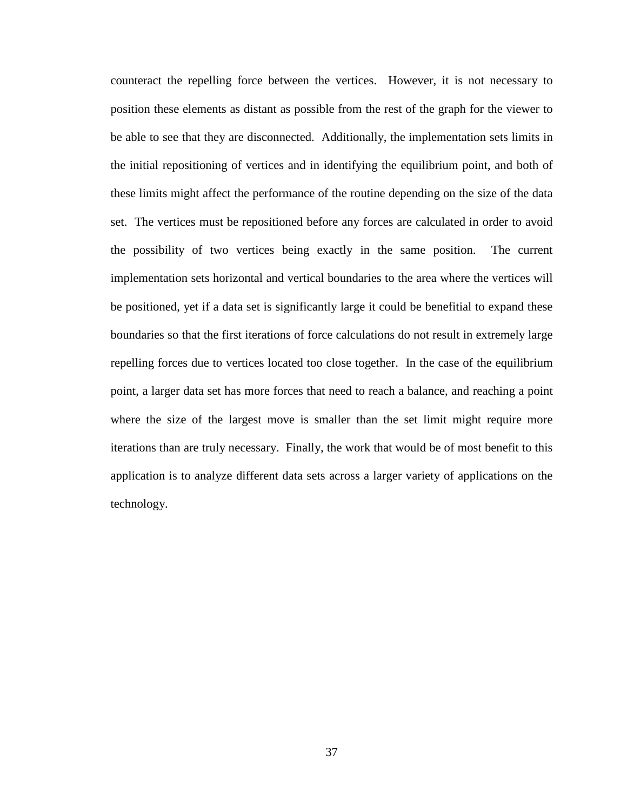counteract the repelling force between the vertices. However, it is not necessary to position these elements as distant as possible from the rest of the graph for the viewer to be able to see that they are disconnected. Additionally, the implementation sets limits in the initial repositioning of vertices and in identifying the equilibrium point, and both of these limits might affect the performance of the routine depending on the size of the data set. The vertices must be repositioned before any forces are calculated in order to avoid the possibility of two vertices being exactly in the same position. The current implementation sets horizontal and vertical boundaries to the area where the vertices will be positioned, yet if a data set is significantly large it could be benefitial to expand these boundaries so that the first iterations of force calculations do not result in extremely large repelling forces due to vertices located too close together. In the case of the equilibrium point, a larger data set has more forces that need to reach a balance, and reaching a point where the size of the largest move is smaller than the set limit might require more iterations than are truly necessary. Finally, the work that would be of most benefit to this application is to analyze different data sets across a larger variety of applications on the technology.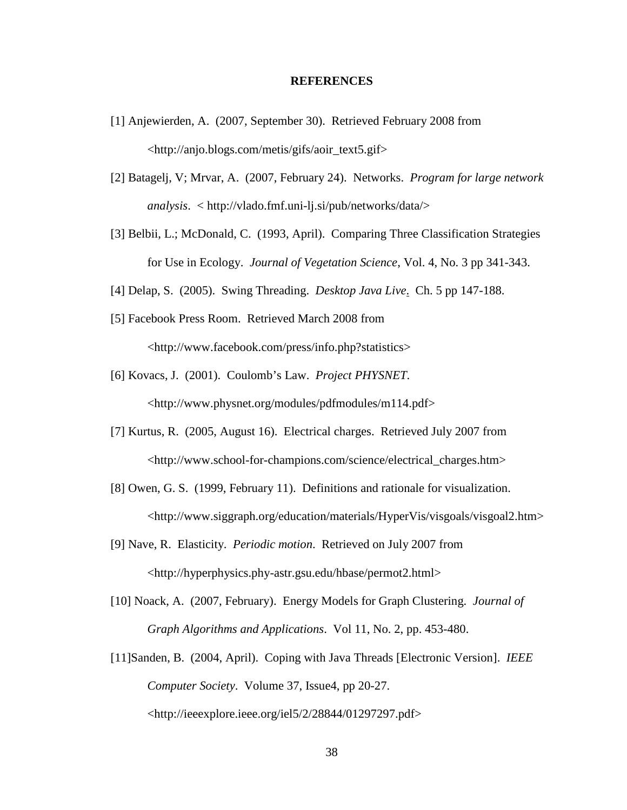#### **REFERENCES**

- [1] Anjewierden, A. (2007, September 30). Retrieved February 2008 from <http://anjo.blogs.com/metis/gifs/aoir\_text5.gif>
- [2] Batagelj, V; Mrvar, A. (2007, February 24). Networks. *Program for large network analysis*. < http://vlado.fmf.uni-lj.si/pub/networks/data/>
- [3] Belbii, L.; McDonald, C. (1993, April). Comparing Three Classification Strategies for Use in Ecology. *Journal of Vegetation Science*, Vol. 4, No. 3 pp 341-343.
- [4] Delap, S. (2005). Swing Threading. *Desktop Java Live*. Ch. 5 pp 147-188.
- [5] Facebook Press Room. Retrieved March 2008 from <http://www.facebook.com/press/info.php?statistics>
- [6] Kovacs, J. (2001). Coulomb's Law. *Project PHYSNET*. <http://www.physnet.org/modules/pdfmodules/m114.pdf>
- [7] Kurtus, R. (2005, August 16). Electrical charges. Retrieved July 2007 from <http://www.school-for-champions.com/science/electrical\_charges.htm>
- [8] Owen, G. S. (1999, February 11). Definitions and rationale for visualization. <http://www.siggraph.org/education/materials/HyperVis/visgoals/visgoal2.htm>
- [9] Nave, R. Elasticity. *Periodic motion*. Retrieved on July 2007 from <http://hyperphysics.phy-astr.gsu.edu/hbase/permot2.html>
- [10] Noack, A. (2007, February). Energy Models for Graph Clustering. *Journal of Graph Algorithms and Applications*. Vol 11, No. 2, pp. 453-480.
- [11]Sanden, B. (2004, April). Coping with Java Threads [Electronic Version]. *IEEE Computer Society*. Volume 37, Issue4, pp 20-27. <http://ieeexplore.ieee.org/iel5/2/28844/01297297.pdf>